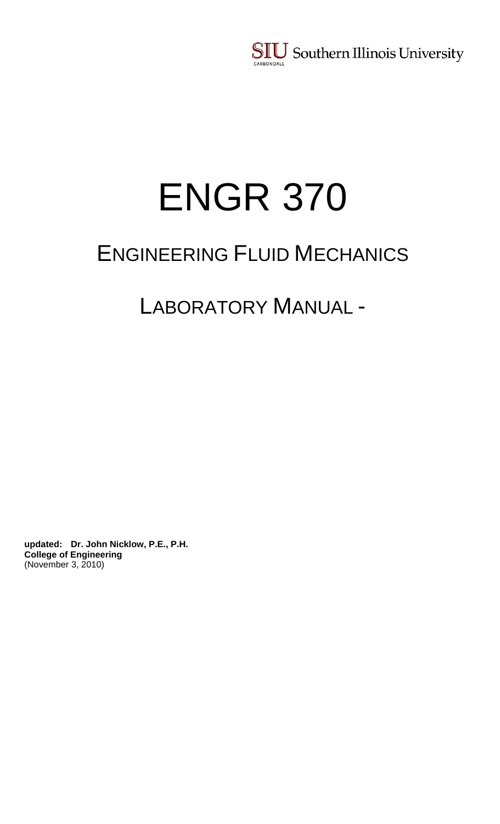**SIU** Southern Illinois University CARBONDALE

# ENGR 370

## ENGINEERING FLUID MECHANICS

LABORATORY MANUAL -

**updated: Dr. John Nicklow, P.E., P.H. College of Engineering**  (November 3, 2010)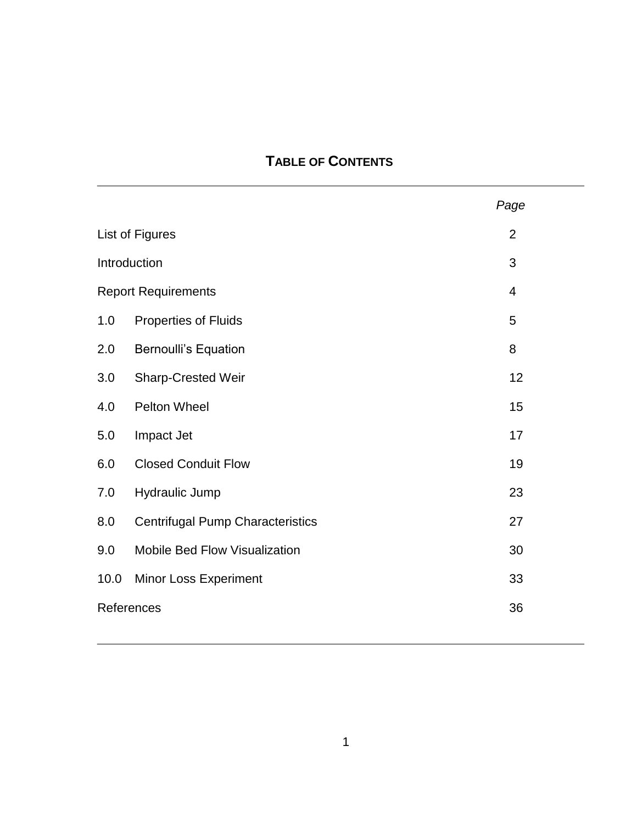## **TABLE OF CONTENTS**

|                            |                                         | Page           |  |
|----------------------------|-----------------------------------------|----------------|--|
| List of Figures            |                                         | $\overline{2}$ |  |
| Introduction               |                                         | 3              |  |
| <b>Report Requirements</b> |                                         | $\overline{4}$ |  |
| 1.0                        | <b>Properties of Fluids</b>             | 5              |  |
| 2.0                        | <b>Bernoulli's Equation</b>             | 8              |  |
| 3.0                        | <b>Sharp-Crested Weir</b>               | 12             |  |
| 4.0                        | Pelton Wheel                            | 15             |  |
| 5.0                        | Impact Jet                              | 17             |  |
| 6.0                        | <b>Closed Conduit Flow</b>              | 19             |  |
| 7.0                        | <b>Hydraulic Jump</b>                   | 23             |  |
| 8.0                        | <b>Centrifugal Pump Characteristics</b> | 27             |  |
| 9.0                        | Mobile Bed Flow Visualization           | 30             |  |
| 10.0                       | <b>Minor Loss Experiment</b>            | 33             |  |
| References<br>36           |                                         |                |  |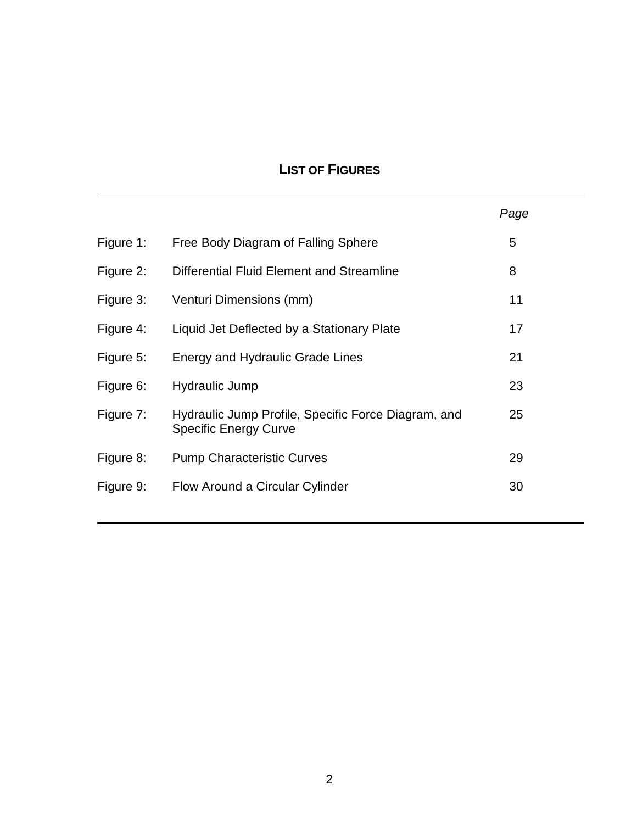## **LIST OF FIGURES**

|           |                                                                                     | Page |
|-----------|-------------------------------------------------------------------------------------|------|
| Figure 1: | Free Body Diagram of Falling Sphere                                                 | 5    |
| Figure 2: | Differential Fluid Element and Streamline                                           | 8    |
| Figure 3: | Venturi Dimensions (mm)                                                             | 11   |
| Figure 4: | Liquid Jet Deflected by a Stationary Plate                                          | 17   |
| Figure 5: | Energy and Hydraulic Grade Lines                                                    | 21   |
| Figure 6: | Hydraulic Jump                                                                      | 23   |
| Figure 7: | Hydraulic Jump Profile, Specific Force Diagram, and<br><b>Specific Energy Curve</b> | 25   |
| Figure 8: | <b>Pump Characteristic Curves</b>                                                   | 29   |
| Figure 9: | Flow Around a Circular Cylinder                                                     | 30   |
|           |                                                                                     |      |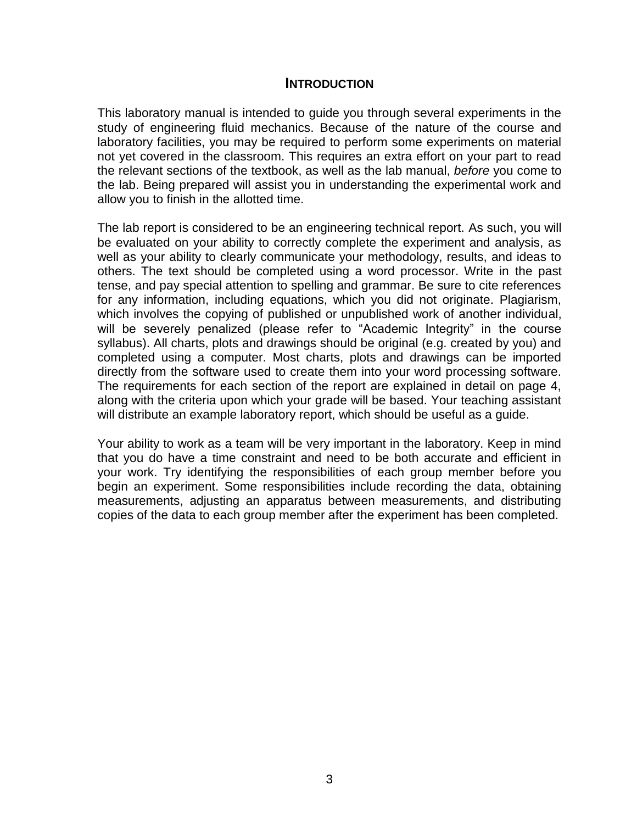#### **INTRODUCTION**

This laboratory manual is intended to guide you through several experiments in the study of engineering fluid mechanics. Because of the nature of the course and laboratory facilities, you may be required to perform some experiments on material not yet covered in the classroom. This requires an extra effort on your part to read the relevant sections of the textbook, as well as the lab manual, *before* you come to the lab. Being prepared will assist you in understanding the experimental work and allow you to finish in the allotted time.

The lab report is considered to be an engineering technical report. As such, you will be evaluated on your ability to correctly complete the experiment and analysis, as well as your ability to clearly communicate your methodology, results, and ideas to others. The text should be completed using a word processor. Write in the past tense, and pay special attention to spelling and grammar. Be sure to cite references for any information, including equations, which you did not originate. Plagiarism, which involves the copying of published or unpublished work of another individual, will be severely penalized (please refer to "Academic Integrity" in the course syllabus). All charts, plots and drawings should be original (e.g. created by you) and completed using a computer. Most charts, plots and drawings can be imported directly from the software used to create them into your word processing software. The requirements for each section of the report are explained in detail on page 4, along with the criteria upon which your grade will be based. Your teaching assistant will distribute an example laboratory report, which should be useful as a guide.

Your ability to work as a team will be very important in the laboratory. Keep in mind that you do have a time constraint and need to be both accurate and efficient in your work. Try identifying the responsibilities of each group member before you begin an experiment. Some responsibilities include recording the data, obtaining measurements, adjusting an apparatus between measurements, and distributing copies of the data to each group member after the experiment has been completed.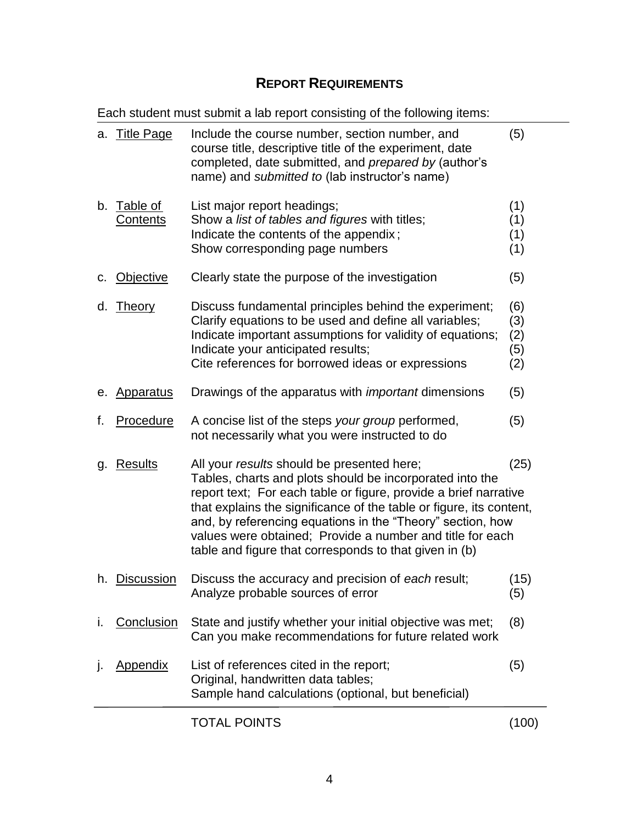## **REPORT REQUIREMENTS**

Each student must submit a lab report consisting of the following items:

| a. | <b>Title Page</b>    | Include the course number, section number, and<br>course title, descriptive title of the experiment, date<br>completed, date submitted, and prepared by (author's<br>name) and submitted to (lab instructor's name)                                                                                                                                                                                                                                   |                                 |
|----|----------------------|-------------------------------------------------------------------------------------------------------------------------------------------------------------------------------------------------------------------------------------------------------------------------------------------------------------------------------------------------------------------------------------------------------------------------------------------------------|---------------------------------|
| b. | Table of<br>Contents | List major report headings;<br>Show a list of tables and figures with titles;<br>Indicate the contents of the appendix;<br>Show corresponding page numbers                                                                                                                                                                                                                                                                                            | (1)<br>(1)<br>(1)<br>(1)        |
| c. | <b>Objective</b>     | Clearly state the purpose of the investigation                                                                                                                                                                                                                                                                                                                                                                                                        | (5)                             |
| d. | <b>Theory</b>        | Discuss fundamental principles behind the experiment;<br>Clarify equations to be used and define all variables;<br>Indicate important assumptions for validity of equations;<br>Indicate your anticipated results;<br>Cite references for borrowed ideas or expressions                                                                                                                                                                               | (6)<br>(3)<br>(2)<br>(5)<br>(2) |
| е. | <b>Apparatus</b>     | Drawings of the apparatus with <i>important</i> dimensions                                                                                                                                                                                                                                                                                                                                                                                            | (5)                             |
| f. | Procedure            | A concise list of the steps your group performed,<br>not necessarily what you were instructed to do                                                                                                                                                                                                                                                                                                                                                   | (5)                             |
| g. | <b>Results</b>       | All your <i>results</i> should be presented here;<br>(25)<br>Tables, charts and plots should be incorporated into the<br>report text; For each table or figure, provide a brief narrative<br>that explains the significance of the table or figure, its content,<br>and, by referencing equations in the "Theory" section, how<br>values were obtained; Provide a number and title for each<br>table and figure that corresponds to that given in (b) |                                 |
|    | h. Discussion        | Discuss the accuracy and precision of each result;<br>Analyze probable sources of error                                                                                                                                                                                                                                                                                                                                                               | (15)<br>(5)                     |
| Τ. | Conclusion           | State and justify whether your initial objective was met;<br>Can you make recommendations for future related work                                                                                                                                                                                                                                                                                                                                     | (8)                             |
| J. | Appendix             | List of references cited in the report;<br>Original, handwritten data tables;<br>Sample hand calculations (optional, but beneficial)                                                                                                                                                                                                                                                                                                                  | (5)                             |
|    |                      | <b>TOTAL POINTS</b>                                                                                                                                                                                                                                                                                                                                                                                                                                   | (100)                           |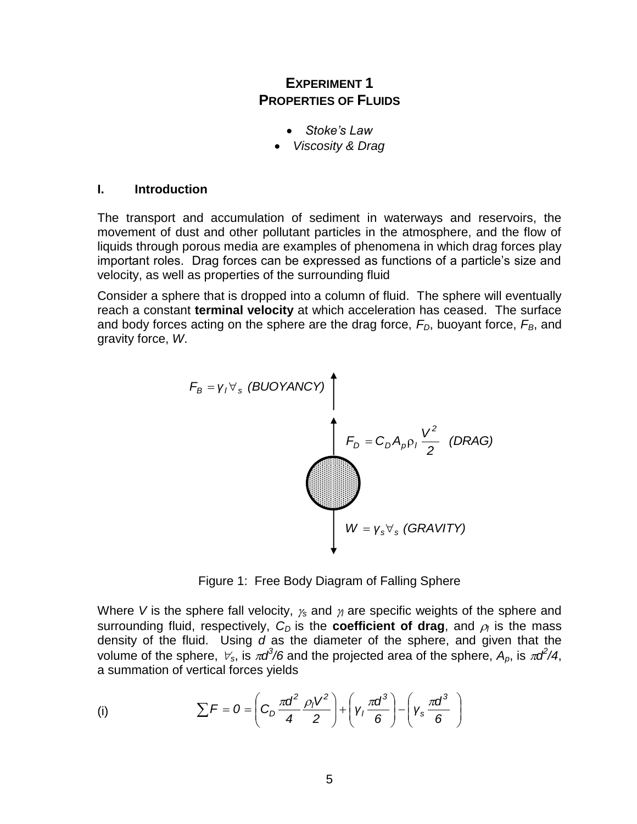## **EXPERIMENT 1 PROPERTIES OF FLUIDS**

- *Stoke's Law*
- *Viscosity & Drag*

#### **I. Introduction**

The transport and accumulation of sediment in waterways and reservoirs, the movement of dust and other pollutant particles in the atmosphere, and the flow of liquids through porous media are examples of phenomena in which drag forces play important roles. Drag forces can be expressed as functions of a particle"s size and velocity, as well as properties of the surrounding fluid

Consider a sphere that is dropped into a column of fluid. The sphere will eventually reach a constant **terminal velocity** at which acceleration has ceased. The surface and body forces acting on the sphere are the drag force, *FD*, buoyant force, *FB*, and gravity force, *W*.



Figure 1: Free Body Diagram of Falling Sphere

Where *V* is the sphere fall velocity,  $\gamma_s$  and  $\gamma_l$  are specific weights of the sphere and surrounding fluid, respectively,  $C_D$  is the **coefficient of drag**, and  $\rho_i$  is the mass density of the fluid. Using *d* as the diameter of the sphere, and given that the volume of the sphere,  $\forall_s$ , is  $\pi d^3/6$  and the projected area of the sphere,  $A_p$ , is  $\pi d^2/4$ , a summation of vertical forces yields

(i) 
$$
\sum F = 0 = \left(C_D \frac{\pi d^2}{4} \frac{\rho_1 V^2}{2}\right) + \left(\gamma_1 \frac{\pi d^3}{6}\right) - \left(\gamma_5 \frac{\pi d^3}{6}\right)
$$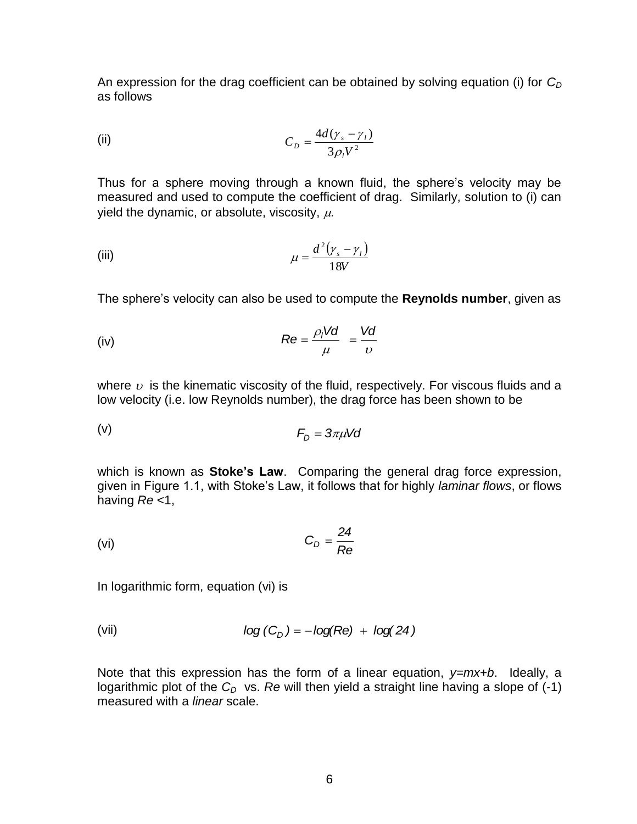An expression for the drag coefficient can be obtained by solving equation (i) for *C<sup>D</sup>* as follows

(ii) 
$$
C_D = \frac{4d(\gamma_s - \gamma_l)}{3\rho_l V^2}
$$

Thus for a sphere moving through a known fluid, the sphere's velocity may be measured and used to compute the coefficient of drag. Similarly, solution to (i) can yield the dynamic, or absolute, viscosity,  $\mu$ .

(iii) 
$$
\mu = \frac{d^2(\gamma_s - \gamma_t)}{18V}
$$

The sphere"s velocity can also be used to compute the **Reynolds number**, given as

(iv) 
$$
Re = \frac{\rho_l V d}{\mu} = \frac{V d}{v}
$$

where  $\upsilon$  is the kinematic viscosity of the fluid, respectively. For viscous fluids and a low velocity (i.e. low Reynolds number), the drag force has been shown to be

$$
F_D = 3\pi\mu Vd
$$

which is known as **Stoke's Law**. Comparing the general drag force expression, given in Figure 1.1, with Stoke"s Law, it follows that for highly *laminar flows*, or flows having *Re* <1,

$$
C_D = \frac{24}{Re}
$$

In logarithmic form, equation (vi) is

(vii) 
$$
\log (C_D) = -\log(Re) + \log(24)
$$

Note that this expression has the form of a linear equation, *y=mx+b*. Ideally, a logarithmic plot of the  $C_D$  vs. Re will then yield a straight line having a slope of  $(-1)$ measured with a *linear* scale.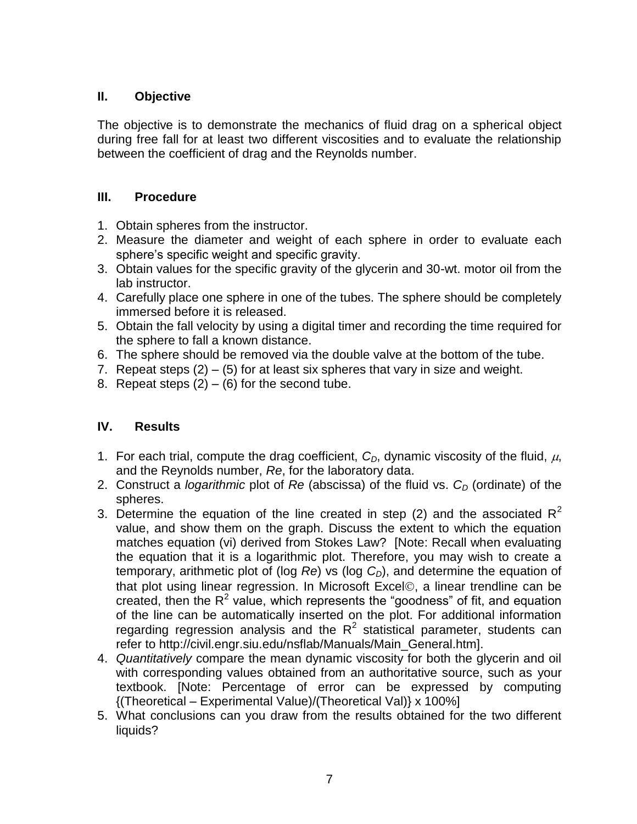## **II. Objective**

The objective is to demonstrate the mechanics of fluid drag on a spherical object during free fall for at least two different viscosities and to evaluate the relationship between the coefficient of drag and the Reynolds number.

## **III. Procedure**

- 1. Obtain spheres from the instructor.
- 2. Measure the diameter and weight of each sphere in order to evaluate each sphere's specific weight and specific gravity.
- 3. Obtain values for the specific gravity of the glycerin and 30-wt. motor oil from the lab instructor.
- 4. Carefully place one sphere in one of the tubes. The sphere should be completely immersed before it is released.
- 5. Obtain the fall velocity by using a digital timer and recording the time required for the sphere to fall a known distance.
- 6. The sphere should be removed via the double valve at the bottom of the tube.
- 7. Repeat steps  $(2) (5)$  for at least six spheres that vary in size and weight.
- 8. Repeat steps  $(2) (6)$  for the second tube.

- 1. For each trial, compute the drag coefficient,  $C_D$ , dynamic viscosity of the fluid,  $\mu$ , and the Reynolds number, *Re*, for the laboratory data.
- 2. Construct a *logarithmic* plot of *Re* (abscissa) of the fluid vs. *C<sup>D</sup>* (ordinate) of the spheres.
- 3. Determine the equation of the line created in step (2) and the associated  $R^2$ value, and show them on the graph. Discuss the extent to which the equation matches equation (vi) derived from Stokes Law? [Note: Recall when evaluating the equation that it is a logarithmic plot. Therefore, you may wish to create a temporary, arithmetic plot of (log *Re*) vs (log *CD*), and determine the equation of that plot using linear regression. In Microsoft Excel©, a linear trendline can be created, then the  $R^2$  value, which represents the "goodness" of fit, and equation of the line can be automatically inserted on the plot. For additional information regarding regression analysis and the  $R^2$  statistical parameter, students can refer to http://civil.engr.siu.edu/nsflab/Manuals/Main\_General.htm].
- 4. *Quantitatively* compare the mean dynamic viscosity for both the glycerin and oil with corresponding values obtained from an authoritative source, such as your textbook. [Note: Percentage of error can be expressed by computing {(Theoretical – Experimental Value)/(Theoretical Val)} x 100%]
- 5. What conclusions can you draw from the results obtained for the two different liquids?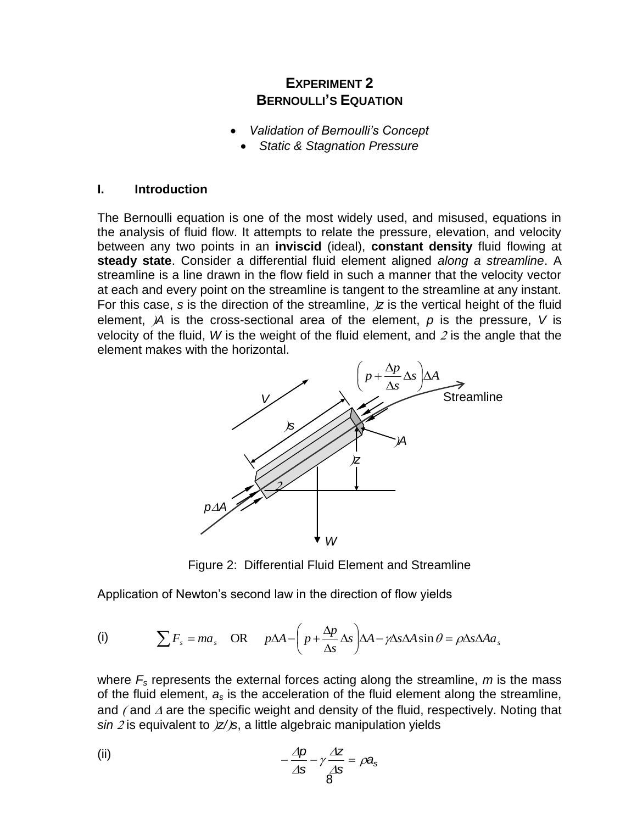## **EXPERIMENT 2 BERNOULLI'S EQUATION**

- *Validation of Bernoulli's Concept*
	- *Static & Stagnation Pressure*

#### **I. Introduction**

The Bernoulli equation is one of the most widely used, and misused, equations in the analysis of fluid flow. It attempts to relate the pressure, elevation, and velocity between any two points in an **inviscid** (ideal), **constant density** fluid flowing at **steady state**. Consider a differential fluid element aligned *along a streamline*. A streamline is a line drawn in the flow field in such a manner that the velocity vector at each and every point on the streamline is tangent to the streamline at any instant. For this case, *s* is the direction of the streamline,  $\overline{z}$  is the vertical height of the fluid element, *A* is the cross-sectional area of the element, *p* is the pressure, *V* is velocity of the fluid, *W* is the weight of the fluid element, and  $2$  is the angle that the element makes with the horizontal.



Figure 2: Differential Fluid Element and Streamline

Application of Newton"s second law in the direction of flow yields

(i) 
$$
\sum F_s = ma_s
$$
 OR  $p\Delta A - \left(p + \frac{\Delta p}{\Delta s} \Delta s\right) \Delta A - \gamma \Delta s \Delta A \sin \theta = \rho \Delta s \Delta A a_s$ 

where *F<sup>s</sup>* represents the external forces acting along the streamline, *m* is the mass of the fluid element, *a<sup>s</sup>* is the acceleration of the fluid element along the streamline, and  $\ell$  and  $\Delta$  are the specific weight and density of the fluid, respectively. Noting that *sin 2* is equivalent to  $\frac{z}{z}$ , a little algebraic manipulation yields

(ii) 
$$
-\frac{\Delta p}{\Delta s} - \gamma \frac{\Delta z}{\Delta s} = \rho a_s
$$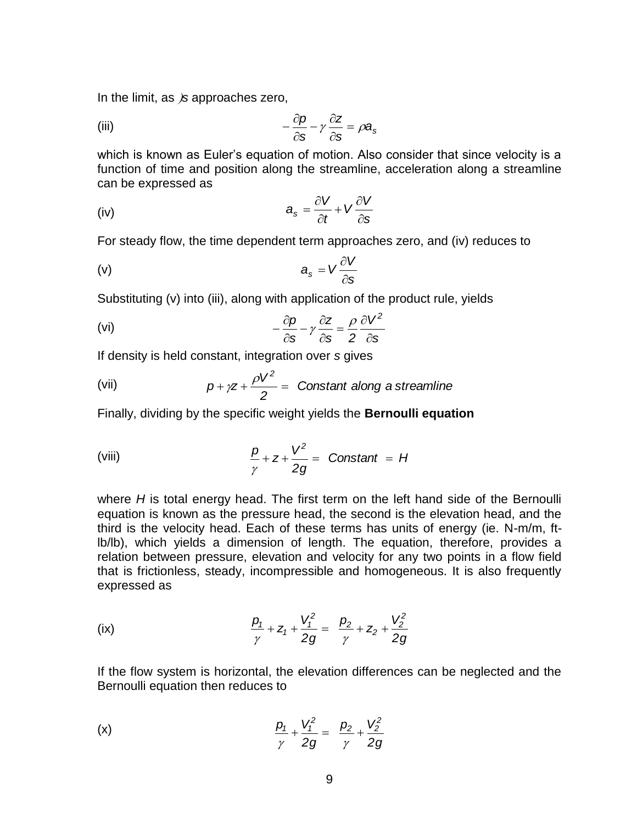In the limit, as *is* approaches zero,

(iii) 
$$
-\frac{\partial p}{\partial s} - \gamma \frac{\partial z}{\partial s} = \rho a_s
$$

which is known as Euler"s equation of motion. Also consider that since velocity is a function of time and position along the streamline, acceleration along a streamline can be expressed as

(iv) 
$$
a_s = \frac{\partial V}{\partial t} + V \frac{\partial V}{\partial s}
$$

For steady flow, the time dependent term approaches zero, and (iv) reduces to

$$
a_{s} = V \frac{\partial V}{\partial s}
$$

Substituting (v) into (iii), along with application of the product rule, yields

(vi) 
$$
-\frac{\partial p}{\partial s} - \gamma \frac{\partial z}{\partial s} = \frac{\rho}{2} \frac{\partial V^2}{\partial s}
$$

If density is held constant, integration over *s* gives

(vii) 
$$
p + \gamma z + \frac{\rho V^2}{2} = \text{Constant along a streamline}
$$

Finally, dividing by the specific weight yields the **Bernoulli equation**

(viii) 
$$
\frac{p}{\gamma} + z + \frac{V^2}{2g} = \text{Constant} = H
$$

where *H* is total energy head. The first term on the left hand side of the Bernoulli equation is known as the pressure head, the second is the elevation head, and the third is the velocity head. Each of these terms has units of energy (ie. N-m/m, ftlb/lb), which yields a dimension of length. The equation, therefore, provides a relation between pressure, elevation and velocity for any two points in a flow field that is frictionless, steady, incompressible and homogeneous. It is also frequently expressed as

(ix) 
$$
\frac{p_1}{\gamma} + Z_1 + \frac{V_1^2}{2g} = \frac{p_2}{\gamma} + Z_2 + \frac{V_2^2}{2g}
$$

If the flow system is horizontal, the elevation differences can be neglected and the Bernoulli equation then reduces to

(x) 
$$
\frac{p_1}{\gamma} + \frac{V_1^2}{2g} = \frac{p_2}{\gamma} + \frac{V_2^2}{2g}
$$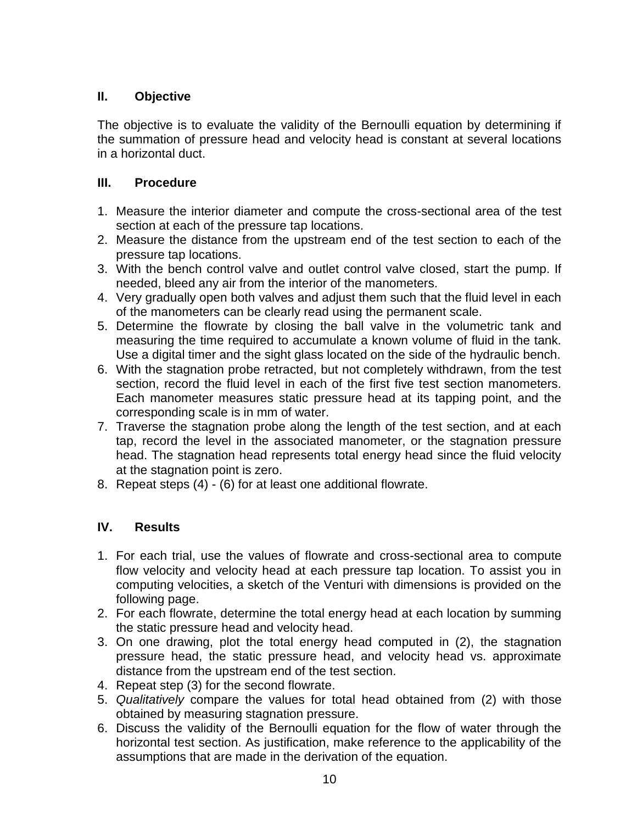## **II. Objective**

The objective is to evaluate the validity of the Bernoulli equation by determining if the summation of pressure head and velocity head is constant at several locations in a horizontal duct.

## **III. Procedure**

- 1. Measure the interior diameter and compute the cross-sectional area of the test section at each of the pressure tap locations.
- 2. Measure the distance from the upstream end of the test section to each of the pressure tap locations.
- 3. With the bench control valve and outlet control valve closed, start the pump. If needed, bleed any air from the interior of the manometers.
- 4. Very gradually open both valves and adjust them such that the fluid level in each of the manometers can be clearly read using the permanent scale.
- 5. Determine the flowrate by closing the ball valve in the volumetric tank and measuring the time required to accumulate a known volume of fluid in the tank. Use a digital timer and the sight glass located on the side of the hydraulic bench.
- 6. With the stagnation probe retracted, but not completely withdrawn, from the test section, record the fluid level in each of the first five test section manometers. Each manometer measures static pressure head at its tapping point, and the corresponding scale is in mm of water.
- 7. Traverse the stagnation probe along the length of the test section, and at each tap, record the level in the associated manometer, or the stagnation pressure head. The stagnation head represents total energy head since the fluid velocity at the stagnation point is zero.
- 8. Repeat steps (4) (6) for at least one additional flowrate.

- 1. For each trial, use the values of flowrate and cross-sectional area to compute flow velocity and velocity head at each pressure tap location. To assist you in computing velocities, a sketch of the Venturi with dimensions is provided on the following page.
- 2. For each flowrate, determine the total energy head at each location by summing the static pressure head and velocity head.
- 3. On one drawing, plot the total energy head computed in (2), the stagnation pressure head, the static pressure head, and velocity head vs. approximate distance from the upstream end of the test section.
- 4. Repeat step (3) for the second flowrate.
- 5. *Qualitatively* compare the values for total head obtained from (2) with those obtained by measuring stagnation pressure.
- 6. Discuss the validity of the Bernoulli equation for the flow of water through the horizontal test section. As justification, make reference to the applicability of the assumptions that are made in the derivation of the equation.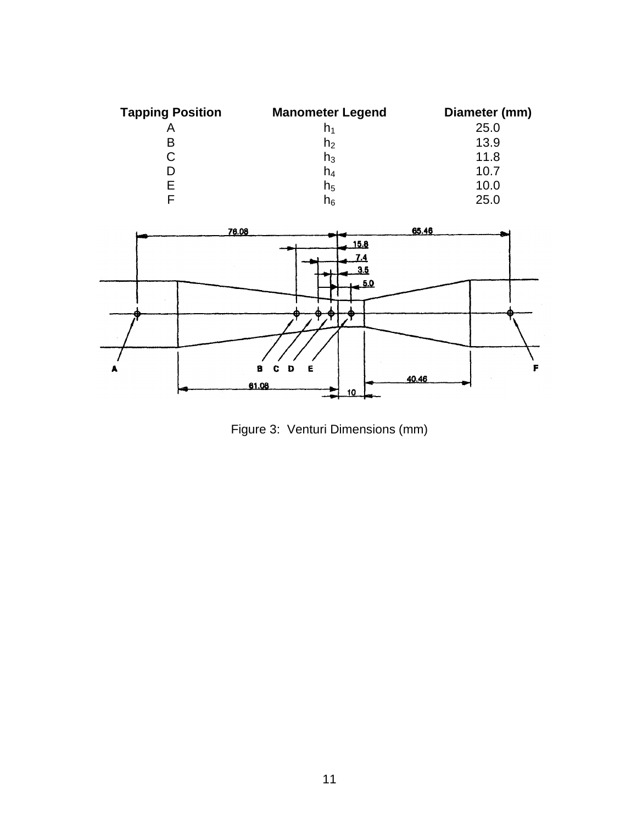| <b>Tapping Position</b> | <b>Manometer Legend</b> | Diameter (mm) |
|-------------------------|-------------------------|---------------|
|                         | n <sub>1</sub>          | 25.0          |
| в                       | h <sub>2</sub>          | 13.9          |
| С                       | $h_3$                   | 11.8          |
|                         | h4                      | 10.7          |
|                         | $h_5$                   | 10.0          |
|                         | h <sub>6</sub>          | 25.0          |

![](_page_11_Figure_1.jpeg)

Figure 3: Venturi Dimensions (mm)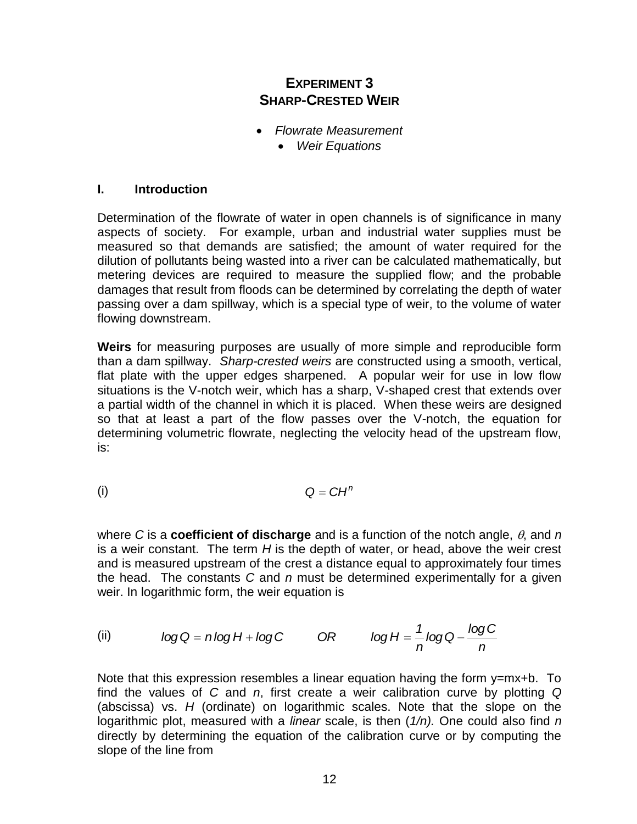## **EXPERIMENT 3 SHARP-CRESTED WEIR**

- *Flowrate Measurement*
	- *Weir Equations*

## **I. Introduction**

Determination of the flowrate of water in open channels is of significance in many aspects of society. For example, urban and industrial water supplies must be measured so that demands are satisfied; the amount of water required for the dilution of pollutants being wasted into a river can be calculated mathematically, but metering devices are required to measure the supplied flow; and the probable damages that result from floods can be determined by correlating the depth of water passing over a dam spillway, which is a special type of weir, to the volume of water flowing downstream.

**Weirs** for measuring purposes are usually of more simple and reproducible form than a dam spillway. *Sharp-crested weirs* are constructed using a smooth, vertical, flat plate with the upper edges sharpened. A popular weir for use in low flow situations is the V-notch weir, which has a sharp, V-shaped crest that extends over a partial width of the channel in which it is placed. When these weirs are designed so that at least a part of the flow passes over the V-notch, the equation for determining volumetric flowrate, neglecting the velocity head of the upstream flow, is:

(i)

where C is a **coefficient of discharge** and is a function of the notch angle,  $\theta$ , and *n* is a weir constant. The term *H* is the depth of water, or head, above the weir crest and is measured upstream of the crest a distance equal to approximately four times the head. The constants *C* and *n* must be determined experimentally for a given weir. In logarithmic form, the weir equation is

(ii) 
$$
log Q = n log H + log C
$$
 OR  $log H = \frac{1}{n} log Q - \frac{log C}{n}$ 

 $Q = CH^n$ <br> **e** and is a function of the notch a<br>
depth of water, or head, above<br>
st a distance equal to approximat<br>
nust be determined experimental<br>
ation is<br>  $OR$   $log H = \frac{1}{n} log Q - \frac{log}{n}$ <br>
a linear equation having the form<br>
re Note that this expression resembles a linear equation having the form  $y=mx+b$ . To find the values of *C* and *n*, first create a weir calibration curve by plotting *Q*  (abscissa) vs. *H* (ordinate) on logarithmic scales. Note that the slope on the logarithmic plot, measured with a *linear* scale, is then (*1/n).* One could also find *n* directly by determining the equation of the calibration curve or by computing the slope of the line from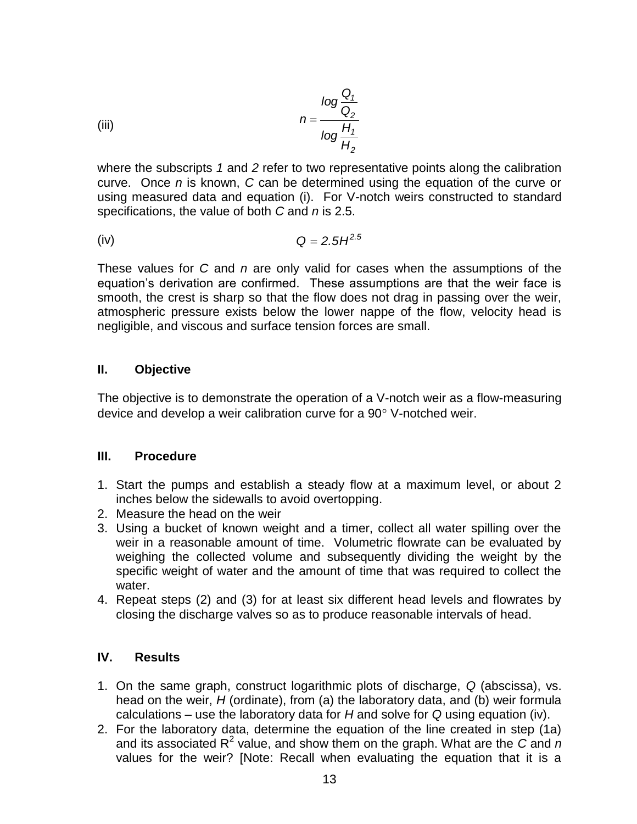(iii) 
$$
n = \frac{\log \frac{Q_1}{Q_2}}{\log \frac{H_1}{H_2}}
$$

where the subscripts *1* and *2* refer to two representative points along the calibration curve. Once *n* is known, *C* can be determined using the equation of the curve or using measured data and equation (i). For V-notch weirs constructed to standard specifications, the value of both *C* and *n* is 2.5.

(iv) 
$$
Q = 2.5H^{2.5}
$$

These values for *C* and *n* are only valid for cases when the assumptions of the equation"s derivation are confirmed. These assumptions are that the weir face is smooth, the crest is sharp so that the flow does not drag in passing over the weir, atmospheric pressure exists below the lower nappe of the flow, velocity head is negligible, and viscous and surface tension forces are small.

#### **II. Objective**

The objective is to demonstrate the operation of a V-notch weir as a flow-measuring device and develop a weir calibration curve for a  $90^\circ$  V-notched weir.

## **III. Procedure**

- 1. Start the pumps and establish a steady flow at a maximum level, or about 2 inches below the sidewalls to avoid overtopping.
- 2. Measure the head on the weir
- 3. Using a bucket of known weight and a timer, collect all water spilling over the weir in a reasonable amount of time. Volumetric flowrate can be evaluated by weighing the collected volume and subsequently dividing the weight by the specific weight of water and the amount of time that was required to collect the water.
- 4. Repeat steps (2) and (3) for at least six different head levels and flowrates by closing the discharge valves so as to produce reasonable intervals of head.

- 1. On the same graph, construct logarithmic plots of discharge, *Q* (abscissa), vs. head on the weir, *H* (ordinate), from (a) the laboratory data, and (b) weir formula calculations – use the laboratory data for *H* and solve for *Q* using equation (iv).
- 2. For the laboratory data, determine the equation of the line created in step (1a) and its associated R<sup>2</sup> value, and show them on the graph. What are the *C* and *n* values for the weir? [Note: Recall when evaluating the equation that it is a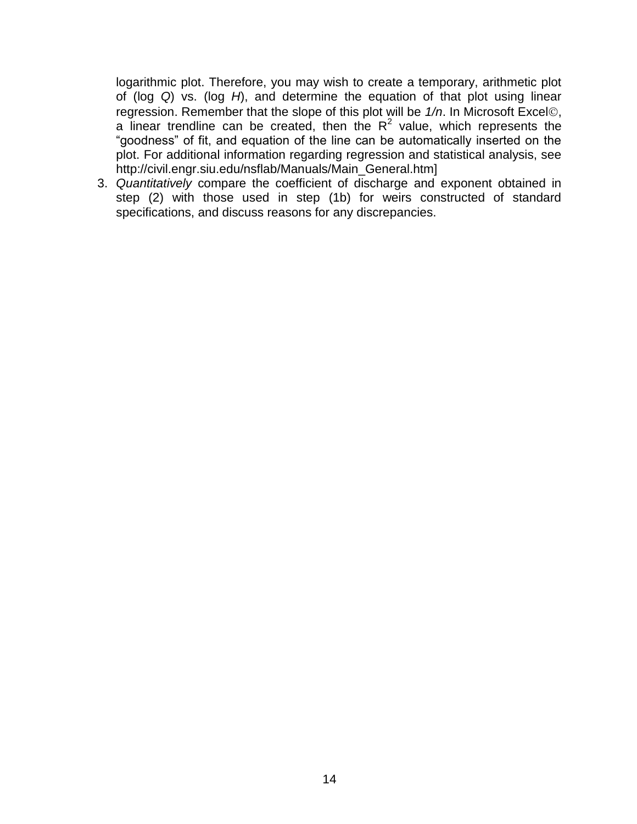logarithmic plot. Therefore, you may wish to create a temporary, arithmetic plot of (log *Q*) vs. (log *H*), and determine the equation of that plot using linear regression. Remember that the slope of this plot will be  $1/n$ . In Microsoft Excel©, a linear trendline can be created, then the  $R^2$  value, which represents the "goodness" of fit, and equation of the line can be automatically inserted on the plot. For additional information regarding regression and statistical analysis, see http://civil.engr.siu.edu/nsflab/Manuals/Main\_General.htm]

3. *Quantitatively* compare the coefficient of discharge and exponent obtained in step (2) with those used in step (1b) for weirs constructed of standard specifications, and discuss reasons for any discrepancies.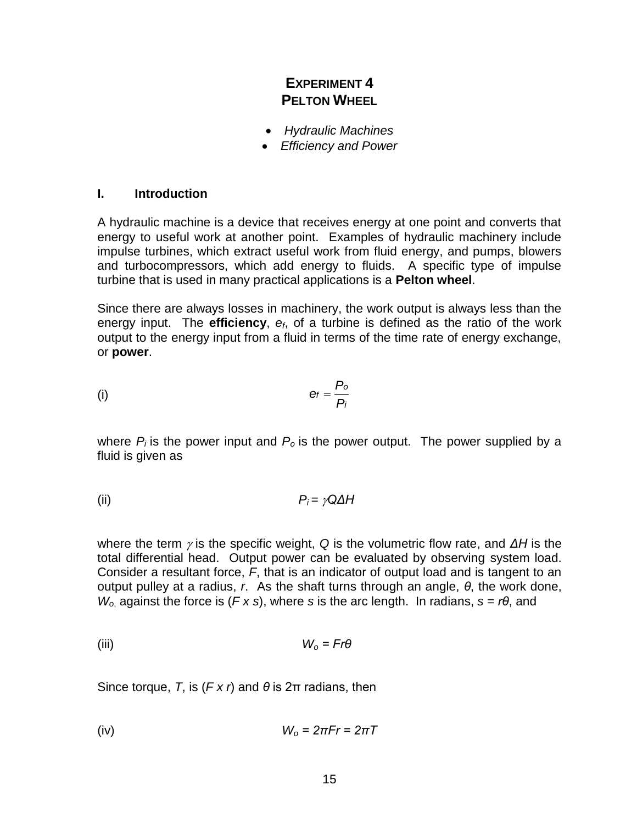## **EXPERIMENT 4 PELTON WHEEL**

- *Hydraulic Machines*
- *Efficiency and Power*

#### **I. Introduction**

A hydraulic machine is a device that receives energy at one point and converts that energy to useful work at another point. Examples of hydraulic machinery include impulse turbines, which extract useful work from fluid energy, and pumps, blowers and turbocompressors, which add energy to fluids. A specific type of impulse turbine that is used in many practical applications is a **Pelton wheel**.

Since there are always losses in machinery, the work output is always less than the energy input. The **efficiency**, *ef*, of a turbine is defined as the ratio of the work output to the energy input from a fluid in terms of the time rate of energy exchange, or **power**.

$$
(i) \t\t\teftrightarrow \t\t\teftrightarrow
$$

where  $P_i$  is the power input and  $P_o$  is the power output. The power supplied by a fluid is given as

(ii) 
$$
P_i = \gamma Q \Delta H
$$

where the term  $\gamma$  is the specific weight, Q is the volumetric flow rate, and  $\Delta H$  is the total differential head. Output power can be evaluated by observing system load. Consider a resultant force, *F*, that is an indicator of output load and is tangent to an output pulley at a radius, *r*. As the shaft turns through an angle, *θ*, the work done, *W<sup>o</sup>*, against the force is (*F x s*), where *s* is the arc length. In radians, *s* = *rθ*, and

(iii) 
$$
W_o = Fr\theta
$$

Since torque, *T*, is (*F x r*) and *θ* is 2π radians, then

$$
(iv) \t\t W_o = 2\pi Fr = 2\pi T
$$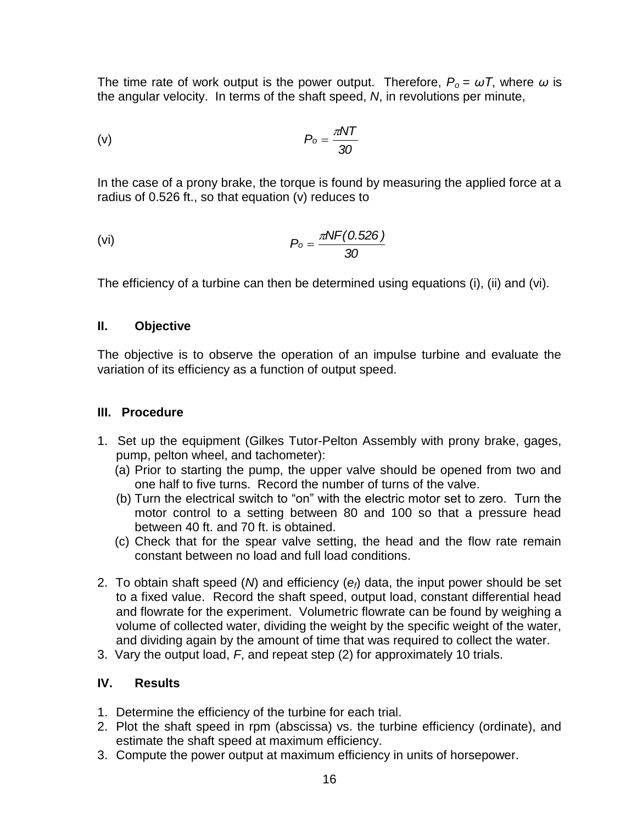The time rate of work output is the power output. Therefore, *P<sup>o</sup>* = *ωT*, where *ω* is the angular velocity. In terms of the shaft speed, *N*, in revolutions per minute,

$$
(v) \t\t\t P_o = \frac{\pi NT}{30}
$$

In the case of a prony brake, the torque is found by measuring the applied force at a radius of 0.526 ft., so that equation (v) reduces to

$$
P_o = \frac{\pi N F(0.526)}{30}
$$

The efficiency of a turbine can then be determined using equations (i), (ii) and (vi).

## **II. Objective**

The objective is to observe the operation of an impulse turbine and evaluate the variation of its efficiency as a function of output speed.

## **III. Procedure**

- 1. Set up the equipment (Gilkes Tutor-Pelton Assembly with prony brake, gages, pump, pelton wheel, and tachometer):
	- (a) Prior to starting the pump, the upper valve should be opened from two and one half to five turns. Record the number of turns of the valve.
	- (b) Turn the electrical switch to "on" with the electric motor set to zero. Turn the motor control to a setting between 80 and 100 so that a pressure head between 40 ft. and 70 ft. is obtained.
	- (c) Check that for the spear valve setting, the head and the flow rate remain constant between no load and full load conditions.
- 2. To obtain shaft speed (*N*) and efficiency (*ef*) data, the input power should be set to a fixed value. Record the shaft speed, output load, constant differential head and flowrate for the experiment. Volumetric flowrate can be found by weighing a volume of collected water, dividing the weight by the specific weight of the water, and dividing again by the amount of time that was required to collect the water.
- 3. Vary the output load, *F*, and repeat step (2) for approximately 10 trials.

- 1. Determine the efficiency of the turbine for each trial.
- 2. Plot the shaft speed in rpm (abscissa) vs. the turbine efficiency (ordinate), and estimate the shaft speed at maximum efficiency.
- 3. Compute the power output at maximum efficiency in units of horsepower.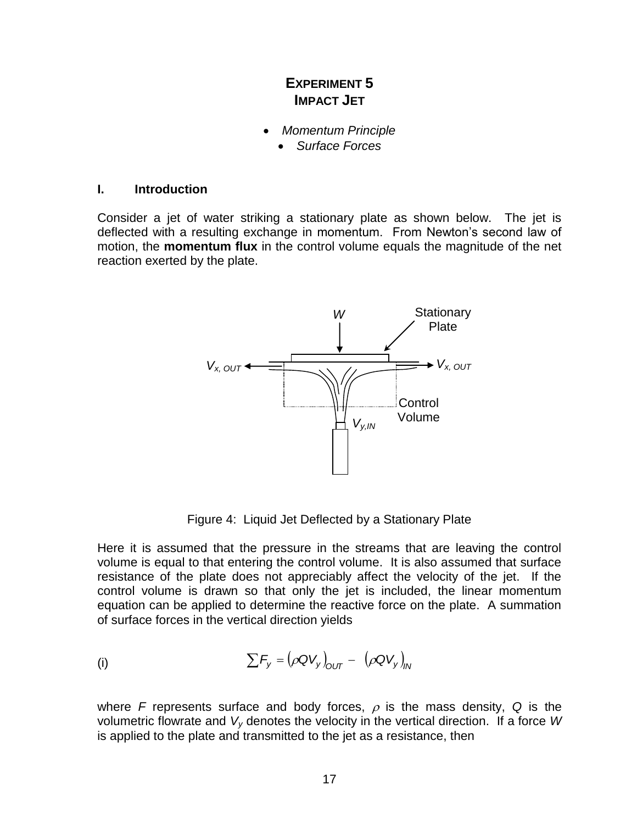## **EXPERIMENT 5 IMPACT JET**

- *Momentum Principle*
	- *Surface Forces*

#### **I. Introduction**

Consider a jet of water striking a stationary plate as shown below. The jet is deflected with a resulting exchange in momentum. From Newton's second law of motion, the **momentum flux** in the control volume equals the magnitude of the net reaction exerted by the plate.

![](_page_17_Figure_5.jpeg)

Figure 4: Liquid Jet Deflected by a Stationary Plate

Here it is assumed that the pressure in the streams that are leaving the control volume is equal to that entering the control volume. It is also assumed that surface resistance of the plate does not appreciably affect the velocity of the jet. If the control volume is drawn so that only the jet is included, the linear momentum equation can be applied to determine the reactive force on the plate. A summation of surface forces in the vertical direction yields

(i) 
$$
\sum F_{y} = (\rho Q V_{y})_{OUT} - (\rho Q V_{y})_{IN}
$$

where *F* represents surface and body forces,  $\rho$  is the mass density, Q is the volumetric flowrate and *V<sup>y</sup>* denotes the velocity in the vertical direction. If a force *W* is applied to the plate and transmitted to the jet as a resistance, then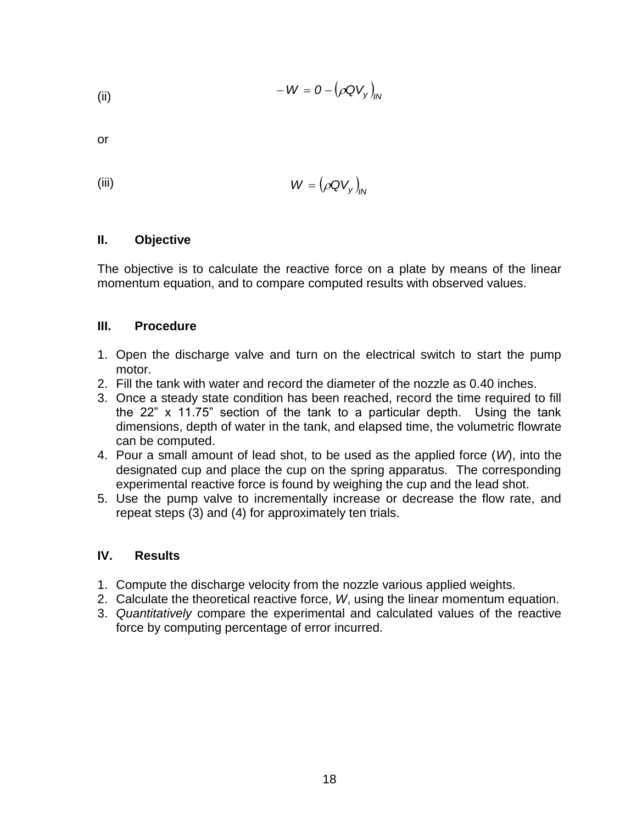(ii) 
$$
-W = O - (\rho Q V_y)_{IN}
$$

or

$$
(iii) \t\t W = (\rho Q V_y)_{y}
$$

## **II. Objective**

The objective is to calculate the reactive force on a plate by means of the linear momentum equation, and to compare computed results with observed values.

## **III. Procedure**

- 1. Open the discharge valve and turn on the electrical switch to start the pump motor.
- 2. Fill the tank with water and record the diameter of the nozzle as 0.40 inches.
- 3. Once a steady state condition has been reached, record the time required to fill the 22" x 11.75" section of the tank to a particular depth. Using the tank dimensions, depth of water in the tank, and elapsed time, the volumetric flowrate can be computed.
- 4. Pour a small amount of lead shot, to be used as the applied force (*W*), into the designated cup and place the cup on the spring apparatus. The corresponding experimental reactive force is found by weighing the cup and the lead shot.
- 5. Use the pump valve to incrementally increase or decrease the flow rate, and repeat steps (3) and (4) for approximately ten trials.

- 1. Compute the discharge velocity from the nozzle various applied weights.
- 2. Calculate the theoretical reactive force, *W*, using the linear momentum equation.
- 3. *Quantitatively* compare the experimental and calculated values of the reactive force by computing percentage of error incurred.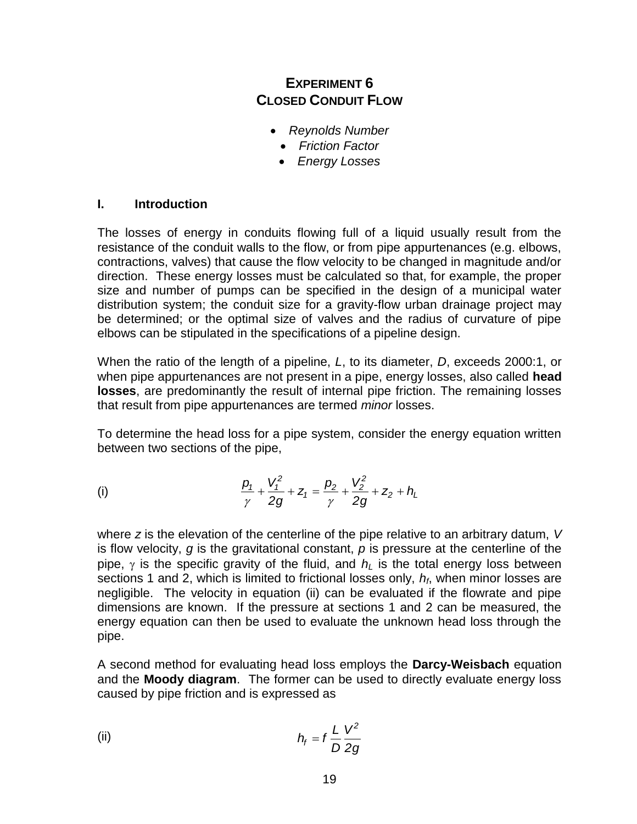## **EXPERIMENT 6 CLOSED CONDUIT FLOW**

- *Reynolds Number*
	- *Friction Factor*
	- *Energy Losses*

## **I. Introduction**

The losses of energy in conduits flowing full of a liquid usually result from the resistance of the conduit walls to the flow, or from pipe appurtenances (e.g. elbows, contractions, valves) that cause the flow velocity to be changed in magnitude and/or direction. These energy losses must be calculated so that, for example, the proper size and number of pumps can be specified in the design of a municipal water distribution system; the conduit size for a gravity-flow urban drainage project may be determined; or the optimal size of valves and the radius of curvature of pipe elbows can be stipulated in the specifications of a pipeline design.

When the ratio of the length of a pipeline, *L*, to its diameter, *D*, exceeds 2000:1, or when pipe appurtenances are not present in a pipe, energy losses, also called **head losses**, are predominantly the result of internal pipe friction. The remaining losses that result from pipe appurtenances are termed *minor* losses.

To determine the head loss for a pipe system, consider the energy equation written between two sections of the pipe,

(i) 
$$
\frac{p_1}{\gamma} + \frac{V_1^2}{2g} + Z_1 = \frac{p_2}{\gamma} + \frac{V_2^2}{2g} + Z_2 + h_L
$$

where *z* is the elevation of the centerline of the pipe relative to an arbitrary datum, *V* is flow velocity, *g* is the gravitational constant, *p* is pressure at the centerline of the pipe,  $\gamma$  is the specific gravity of the fluid, and  $h<sub>L</sub>$  is the total energy loss between sections 1 and 2, which is limited to frictional losses only, *hf*, when minor losses are negligible. The velocity in equation (ii) can be evaluated if the flowrate and pipe dimensions are known. If the pressure at sections 1 and 2 can be measured, the energy equation can then be used to evaluate the unknown head loss through the pipe.

A second method for evaluating head loss employs the **Darcy-Weisbach** equation and the **Moody diagram**. The former can be used to directly evaluate energy loss caused by pipe friction and is expressed as

(ii) 
$$
h_f = f \frac{L}{D} \frac{V^2}{2g}
$$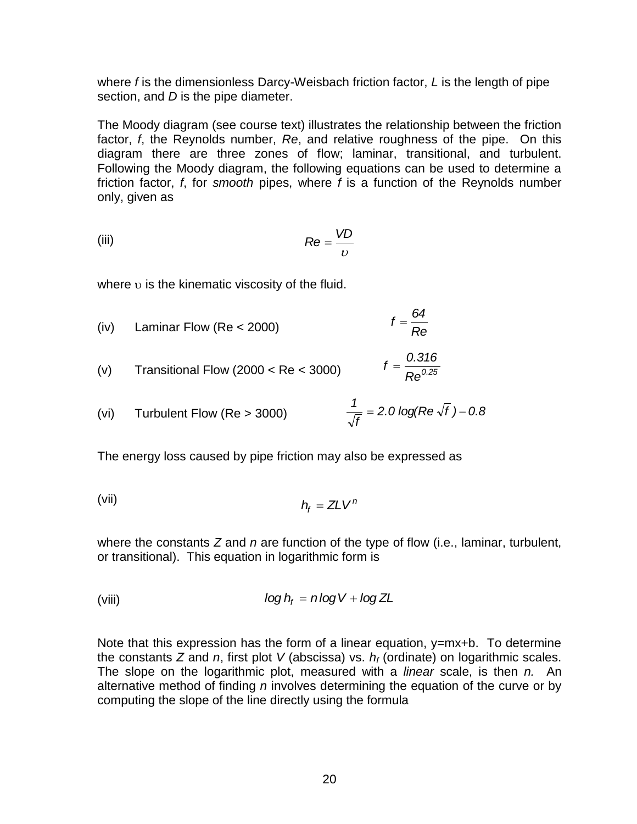where *f* is the dimensionless Darcy-Weisbach friction factor, *L* is the length of pipe section, and *D* is the pipe diameter.

The Moody diagram (see course text) illustrates the relationship between the friction factor, *f*, the Reynolds number, *Re*, and relative roughness of the pipe. On this diagram there are three zones of flow; laminar, transitional, and turbulent. Following the Moody diagram, the following equations can be used to determine a friction factor, *f*, for *smooth* pipes, where *f* is a function of the Reynolds number only, given as

(iii) 
$$
Re = \frac{VD}{v}
$$

where  $\nu$  is the kinematic viscosity of the fluid.

(iv) Laminar Flow (Re < 2000) 
$$
f = \frac{64}{Re}
$$

*0.25 Re*  $f = \frac{0.316}{0.35}$ (v) Transitional Flow (2000 < Re < 3000)

(vi) Turbulent Flow (Re > 3000) 
$$
\frac{1}{\sqrt{f}} = 2.0 \log(\text{Re} \sqrt{f}) - 0.8
$$

The energy loss caused by pipe friction may also be expressed as

(vii) 
$$
h_f = Z L V^n
$$

where the constants *Z* and *n* are function of the type of flow (i.e., laminar, turbulent, or transitional). This equation in logarithmic form is

(viii) 
$$
\log h_f = n \log V + \log Z L
$$

Note that this expression has the form of a linear equation, y=mx+b. To determine the constants *Z* and *n*, first plot *V* (abscissa) vs. *h<sup>f</sup>* (ordinate) on logarithmic scales. The slope on the logarithmic plot, measured with a *linear* scale, is then *n.* An alternative method of finding *n* involves determining the equation of the curve or by computing the slope of the line directly using the formula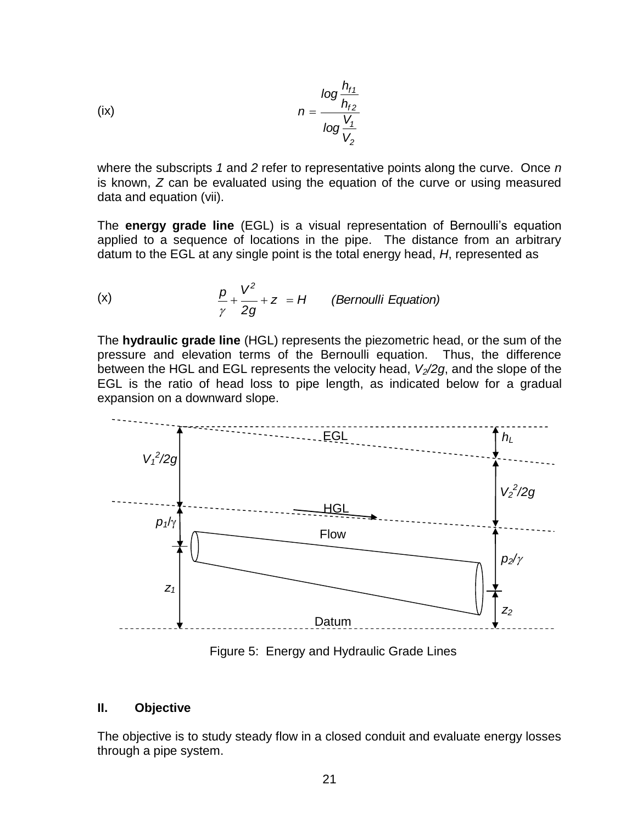(ix) 
$$
n = \frac{\log \frac{h_{f1}}{h_{f2}}}{\log \frac{V_1}{V_2}}
$$

where the subscripts *1* and *2* refer to representative points along the curve. Once *n* is known, *Z* can be evaluated using the equation of the curve or using measured data and equation (vii).

The **energy grade line** (EGL) is a visual representation of Bernoulli"s equation applied to a sequence of locations in the pipe. The distance from an arbitrary datum to the EGL at any single point is the total energy head, *H*, represented as

(x) 
$$
\frac{p}{\gamma} + \frac{V^2}{2g} + z = H
$$
 (Bernoulli Equation)

The **hydraulic grade line** (HGL) represents the piezometric head, or the sum of the pressure and elevation terms of the Bernoulli equation. Thus, the difference between the HGL and EGL represents the velocity head, *V2/2g*, and the slope of the EGL is the ratio of head loss to pipe length, as indicated below for a gradual expansion on a downward slope.

![](_page_21_Figure_5.jpeg)

Figure 5: Energy and Hydraulic Grade Lines

## **II. Objective**

The objective is to study steady flow in a closed conduit and evaluate energy losses through a pipe system.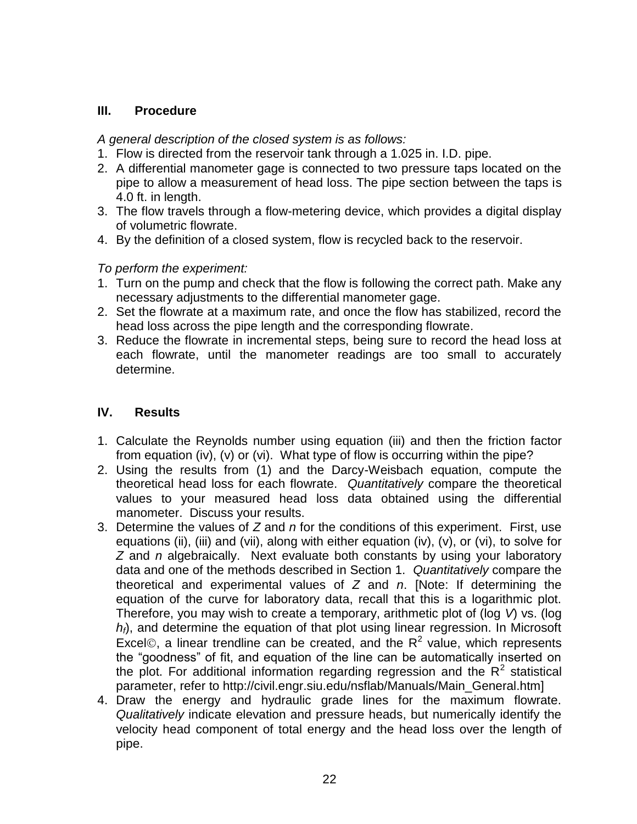## **III. Procedure**

*A general description of the closed system is as follows:*

- 1. Flow is directed from the reservoir tank through a 1.025 in. I.D. pipe.
- 2. A differential manometer gage is connected to two pressure taps located on the pipe to allow a measurement of head loss. The pipe section between the taps is 4.0 ft. in length.
- 3. The flow travels through a flow-metering device, which provides a digital display of volumetric flowrate.
- 4. By the definition of a closed system, flow is recycled back to the reservoir.

*To perform the experiment:*

- 1. Turn on the pump and check that the flow is following the correct path. Make any necessary adjustments to the differential manometer gage.
- 2. Set the flowrate at a maximum rate, and once the flow has stabilized, record the head loss across the pipe length and the corresponding flowrate.
- 3. Reduce the flowrate in incremental steps, being sure to record the head loss at each flowrate, until the manometer readings are too small to accurately determine.

- 1. Calculate the Reynolds number using equation (iii) and then the friction factor from equation (iv), (v) or (vi). What type of flow is occurring within the pipe?
- 2. Using the results from (1) and the Darcy-Weisbach equation, compute the theoretical head loss for each flowrate. *Quantitatively* compare the theoretical values to your measured head loss data obtained using the differential manometer. Discuss your results.
- 3. Determine the values of *Z* and *n* for the conditions of this experiment. First, use equations (ii), (iii) and (vii), along with either equation (iv), (v), or (vi), to solve for *Z* and *n* algebraically. Next evaluate both constants by using your laboratory data and one of the methods described in Section 1. *Quantitatively* compare the theoretical and experimental values of *Z* and *n*. [Note: If determining the equation of the curve for laboratory data, recall that this is a logarithmic plot. Therefore, you may wish to create a temporary, arithmetic plot of (log *V*) vs. (log *hf*), and determine the equation of that plot using linear regression. In Microsoft Excel©, a linear trendline can be created, and the  $R^2$  value, which represents the "goodness" of fit, and equation of the line can be automatically inserted on the plot. For additional information regarding regression and the  $R^2$  statistical parameter, refer to http://civil.engr.siu.edu/nsflab/Manuals/Main\_General.htm]
- 4. Draw the energy and hydraulic grade lines for the maximum flowrate. *Qualitatively* indicate elevation and pressure heads, but numerically identify the velocity head component of total energy and the head loss over the length of pipe.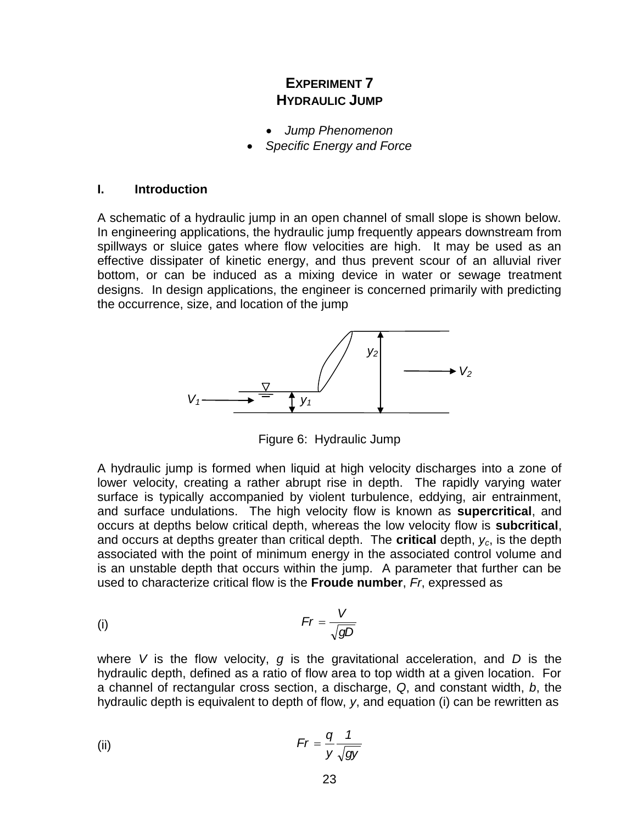## **EXPERIMENT 7 HYDRAULIC JUMP**

- *Jump Phenomenon*
- *Specific Energy and Force*

#### **I. Introduction**

A schematic of a hydraulic jump in an open channel of small slope is shown below. In engineering applications, the hydraulic jump frequently appears downstream from spillways or sluice gates where flow velocities are high. It may be used as an effective dissipater of kinetic energy, and thus prevent scour of an alluvial river bottom, or can be induced as a mixing device in water or sewage treatment designs. In design applications, the engineer is concerned primarily with predicting the occurrence, size, and location of the jump

![](_page_23_Figure_5.jpeg)

Figure 6: Hydraulic Jump

A hydraulic jump is formed when liquid at high velocity discharges into a zone of lower velocity, creating a rather abrupt rise in depth. The rapidly varying water surface is typically accompanied by violent turbulence, eddying, air entrainment, and surface undulations. The high velocity flow is known as **supercritical**, and occurs at depths below critical depth, whereas the low velocity flow is **subcritical**, and occurs at depths greater than critical depth. The **critical** depth, *yc*, is the depth associated with the point of minimum energy in the associated control volume and is an unstable depth that occurs within the jump. A parameter that further can be used to characterize critical flow is the **Froude number**, *Fr*, expressed as

$$
Fr = \frac{V}{\sqrt{gD}}
$$

where *V* is the flow velocity, *g* is the gravitational acceleration, and *D* is the hydraulic depth, defined as a ratio of flow area to top width at a given location. For a channel of rectangular cross section, a discharge, *Q*, and constant width, *b*, the hydraulic depth is equivalent to depth of flow, *y*, and equation (i) can be rewritten as

(ii) 
$$
Fr = \frac{q}{y} \frac{1}{\sqrt{gy}}
$$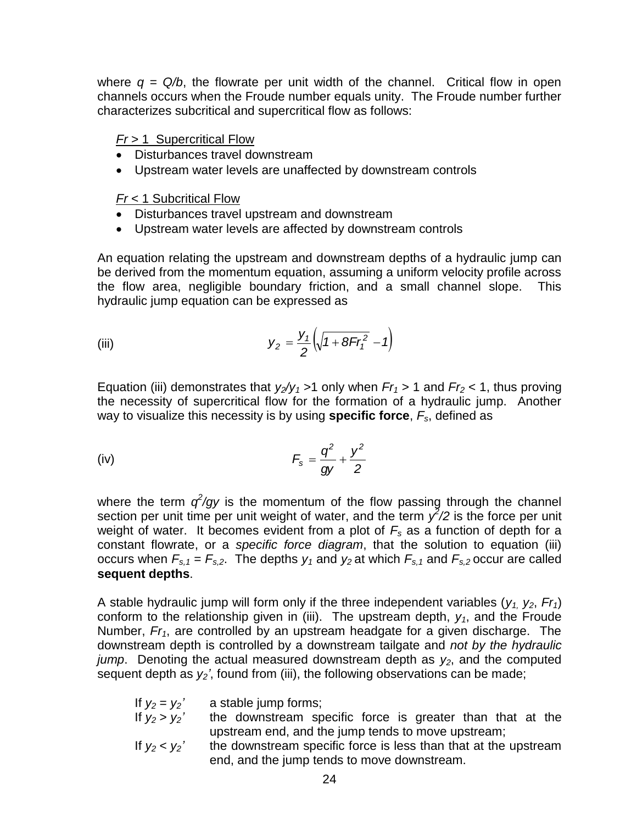where  $q = Q/b$ , the flowrate per unit width of the channel. Critical flow in open channels occurs when the Froude number equals unity. The Froude number further characterizes subcritical and supercritical flow as follows:

## *Fr* > 1 Supercritical Flow

- Disturbances travel downstream
- Upstream water levels are unaffected by downstream controls

*Fr* < 1 Subcritical Flow

- Disturbances travel upstream and downstream
- Upstream water levels are affected by downstream controls

An equation relating the upstream and downstream depths of a hydraulic jump can be derived from the momentum equation, assuming a uniform velocity profile across the flow area, negligible boundary friction, and a small channel slope. This hydraulic jump equation can be expressed as

(iii) 
$$
y_2 = \frac{y_1}{2} \left( \sqrt{1 + 8Fr_1^2} - 1 \right)
$$

Equation (iii) demonstrates that  $y_2/y_1 > 1$  only when  $Fr_1 > 1$  and  $Fr_2 < 1$ , thus proving the necessity of supercritical flow for the formation of a hydraulic jump. Another way to visualize this necessity is by using **specific force**, *Fs*, defined as

(iv) 
$$
F_s = \frac{q^2}{gy} + \frac{y^2}{2}
$$

where the term  $q^2/qy$  is the momentum of the flow passing through the channel section per unit time per unit weight of water, and the term  $\chi^2/2$  is the force per unit weight of water. It becomes evident from a plot of *F<sup>s</sup>* as a function of depth for a constant flowrate, or a *specific force diagram*, that the solution to equation (iii) occurs when  $F_{s,1} = F_{s,2}$ . The depths  $y_1$  and  $y_2$  at which  $F_{s,1}$  and  $F_{s,2}$  occur are called **sequent depths**.

 $(\sqrt{1+8Fr_1^2} - 1)$ <br>
1 only when  $Fr_1$ <br>
the formation c<br>
ng **specific ford**<br>  $=\frac{q^2}{gy} + \frac{y^2}{2}$ <br>
im of the flow<br>
water, and the<br>
rom a plot of *F*<br>
diagram, that<br>
and  $y_2$  at which<br>
f the three inde<br>
i). The upstream<br> A stable hydraulic jump will form only if the three independent variables  $(y_1, y_2, Fr_1)$ conform to the relationship given in (iii). The upstream depth,  $y_1$ , and the Froude Number, *Fr1*, are controlled by an upstream headgate for a given discharge. The downstream depth is controlled by a downstream tailgate and *not by the hydraulic jump*. Denoting the actual measured downstream depth as *y2*, and the computed sequent depth as *y2'*, found from (iii), the following observations can be made;

| If $v_2 = v_2'$ | a stable jump forms;                                            |  |  |  |
|-----------------|-----------------------------------------------------------------|--|--|--|
| If $y_2 > y_2'$ | the downstream specific force is greater than that at the       |  |  |  |
|                 | upstream end, and the jump tends to move upstream;              |  |  |  |
| If $y_2 < y_2'$ | the downstream specific force is less than that at the upstream |  |  |  |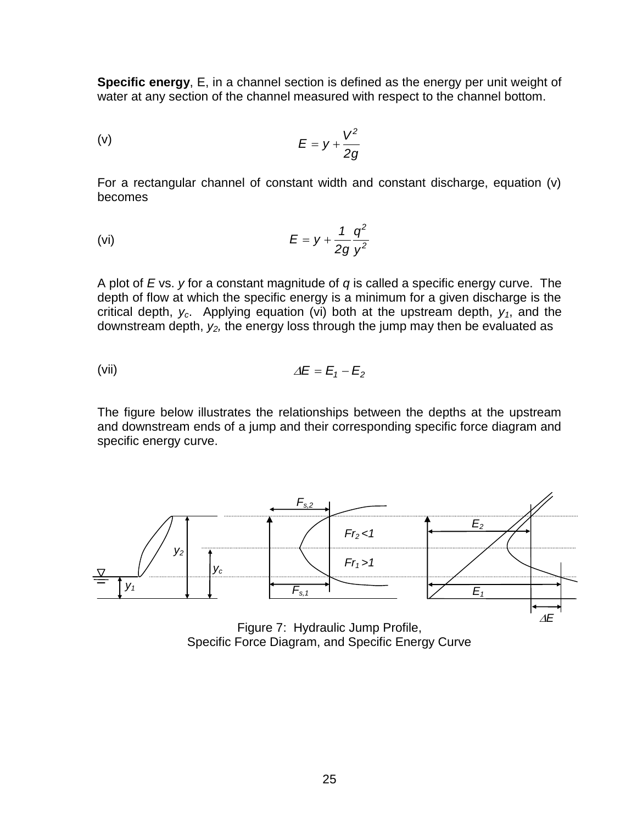**Specific energy**, E, in a channel section is defined as the energy per unit weight of water at any section of the channel measured with respect to the channel bottom.

$$
(v) \tE = y + \frac{V^2}{2g}
$$

For a rectangular channel of constant width and constant discharge, equation (v) becomes

$$
(vi) \tE = y + \frac{1}{2g} \frac{q^2}{y^2}
$$

A plot of *E* vs. *y* for a constant magnitude of *q* is called a specific energy curve. The depth of flow at which the specific energy is a minimum for a given discharge is the critical depth, *yc*. Applying equation (vi) both at the upstream depth, *y1*, and the downstream depth, *y2,* the energy loss through the jump may then be evaluated as

$$
\Delta E = E_1 - E_2
$$

The figure below illustrates the relationships between the depths at the upstream and downstream ends of a jump and their corresponding specific force diagram and specific energy curve.

![](_page_25_Figure_7.jpeg)

Specific Force Diagram, and Specific Energy Curve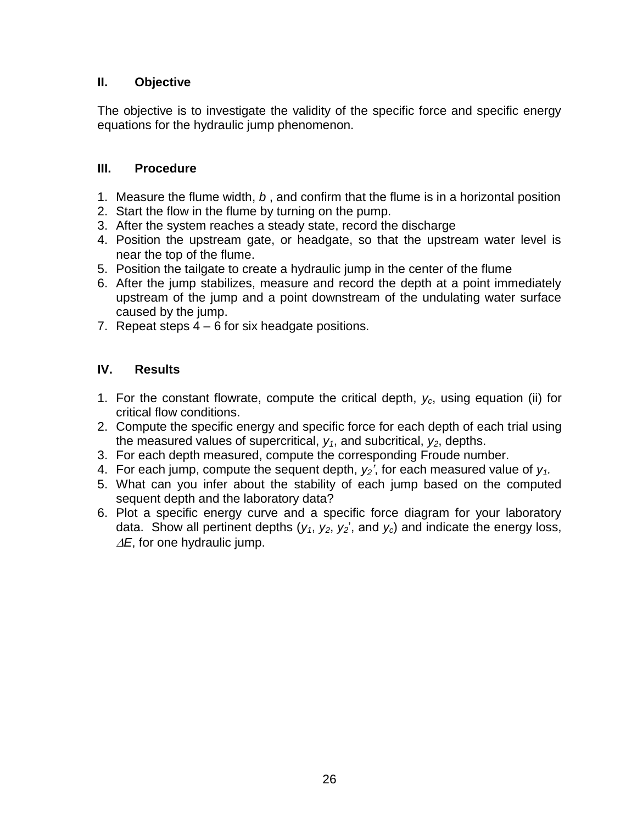## **II. Objective**

The objective is to investigate the validity of the specific force and specific energy equations for the hydraulic jump phenomenon.

## **III. Procedure**

- 1. Measure the flume width, *b* , and confirm that the flume is in a horizontal position
- 2. Start the flow in the flume by turning on the pump.
- 3. After the system reaches a steady state, record the discharge
- 4. Position the upstream gate, or headgate, so that the upstream water level is near the top of the flume.
- 5. Position the tailgate to create a hydraulic jump in the center of the flume
- 6. After the jump stabilizes, measure and record the depth at a point immediately upstream of the jump and a point downstream of the undulating water surface caused by the jump.
- 7. Repeat steps  $4 6$  for six headgate positions.

- 1. For the constant flowrate, compute the critical depth, *yc*, using equation (ii) for critical flow conditions.
- 2. Compute the specific energy and specific force for each depth of each trial using the measured values of supercritical, *y1*, and subcritical, *y2*, depths.
- 3. For each depth measured, compute the corresponding Froude number.
- 4. For each jump, compute the sequent depth,  $y_2$ <sup>2</sup>, for each measured value of  $y_1$ .
- 5. What can you infer about the stability of each jump based on the computed sequent depth and the laboratory data?
- 6. Plot a specific energy curve and a specific force diagram for your laboratory data. Show all pertinent depths  $(y_1, y_2, y_2)$ , and  $y_c$ ) and indicate the energy loss,  $\Delta E$ , for one hydraulic jump.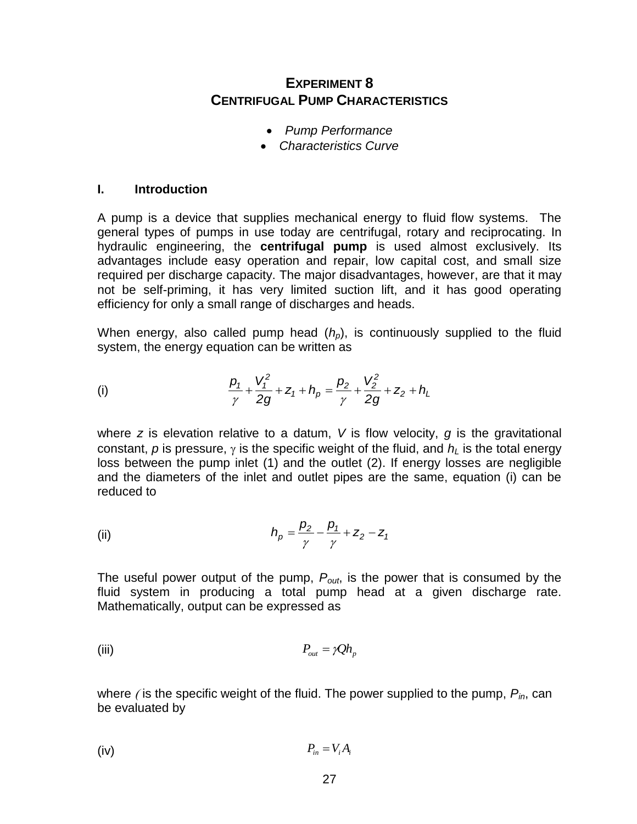## **EXPERIMENT 8 CENTRIFUGAL PUMP CHARACTERISTICS**

- *Pump Performance*
- *Characteristics Curve*

#### **I. Introduction**

A pump is a device that supplies mechanical energy to fluid flow systems. The general types of pumps in use today are centrifugal, rotary and reciprocating. In hydraulic engineering, the **centrifugal pump** is used almost exclusively. Its advantages include easy operation and repair, low capital cost, and small size required per discharge capacity. The major disadvantages, however, are that it may not be self-priming, it has very limited suction lift, and it has good operating efficiency for only a small range of discharges and heads.

When energy, also called pump head (*hp*), is continuously supplied to the fluid system, the energy equation can be written as

(i) 
$$
\frac{p_1}{\gamma} + \frac{V_1^2}{2g} + z_1 + h_p = \frac{p_2}{\gamma} + \frac{V_2^2}{2g} + z_2 + h_l
$$

where *z* is elevation relative to a datum, *V* is flow velocity, *g* is the gravitational constant, *p* is pressure,  $\gamma$  is the specific weight of the fluid, and  $h_l$  is the total energy loss between the pump inlet (1) and the outlet (2). If energy losses are negligible and the diameters of the inlet and outlet pipes are the same, equation (i) can be reduced to

(ii) 
$$
h_p = \frac{p_2}{\gamma} - \frac{p_1}{\gamma} + z_2 - z_1
$$

The useful power output of the pump, *Pout*, is the power that is consumed by the fluid system in producing a total pump head at a given discharge rate. Mathematically, output can be expressed as

(iii) 
$$
P_{out} = \gamma Q h_p
$$

where  $\ell$  is the specific weight of the fluid. The power supplied to the pump,  $P_{in}$ , can be evaluated by

$$
P_{in} = V_i A_i
$$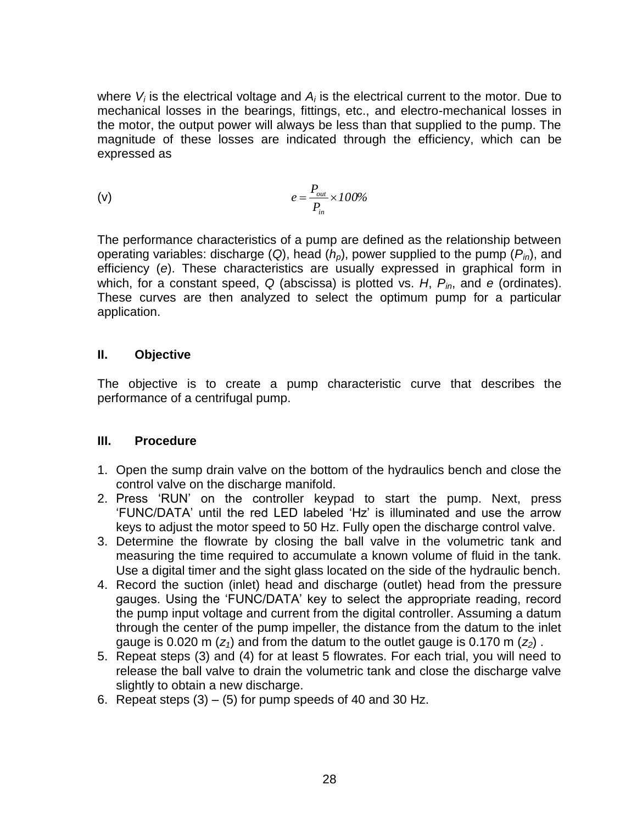where  $V_i$  is the electrical voltage and  $A_i$  is the electrical current to the motor. Due to mechanical losses in the bearings, fittings, etc., and electro-mechanical losses in the motor, the output power will always be less than that supplied to the pump. The magnitude of these losses are indicated through the efficiency, which can be expressed as

$$
e = \frac{P_{out}}{P_{in}} \times 100\%
$$

 $\frac{d}{dx} \times 100\%$ <br>
<sup>1</sup><br> **100%**<br> **100%**<br> **100%**<br> **100%**<br> **100**<br> **100**<br> **100**<br> **100**<br> **100**<br> **100**<br> **100**<br> **100**<br> **100**<br> **100**<br> **100**<br> **100**<br> **100**<br> **100**<br> **100**<br> **100**<br> **100**<br> **100**<br> **100**<br> **100**<br> **100**<br> **100**<br> **100**<br> **100** The performance characteristics of a pump are defined as the relationship between operating variables: discharge (*Q*), head (*hp*), power supplied to the pump (*Pin*), and efficiency (*e*). These characteristics are usually expressed in graphical form in which, for a constant speed, *Q* (abscissa) is plotted vs. *H*, *Pin*, and *e* (ordinates). These curves are then analyzed to select the optimum pump for a particular application.

## **II. Objective**

The objective is to create a pump characteristic curve that describes the performance of a centrifugal pump.

## **III. Procedure**

- 1. Open the sump drain valve on the bottom of the hydraulics bench and close the control valve on the discharge manifold.
- 2. Press "RUN" on the controller keypad to start the pump. Next, press "FUNC/DATA" until the red LED labeled "Hz" is illuminated and use the arrow keys to adjust the motor speed to 50 Hz. Fully open the discharge control valve.
- 3. Determine the flowrate by closing the ball valve in the volumetric tank and measuring the time required to accumulate a known volume of fluid in the tank. Use a digital timer and the sight glass located on the side of the hydraulic bench.
- 4. Record the suction (inlet) head and discharge (outlet) head from the pressure gauges. Using the "FUNC/DATA" key to select the appropriate reading, record the pump input voltage and current from the digital controller. Assuming a datum through the center of the pump impeller, the distance from the datum to the inlet gauge is 0.020 m  $(z_1)$  and from the datum to the outlet gauge is 0.170 m  $(z_2)$ .
- 5. Repeat steps (3) and (4) for at least 5 flowrates. For each trial, you will need to release the ball valve to drain the volumetric tank and close the discharge valve slightly to obtain a new discharge.
- 6. Repeat steps  $(3) (5)$  for pump speeds of 40 and 30 Hz.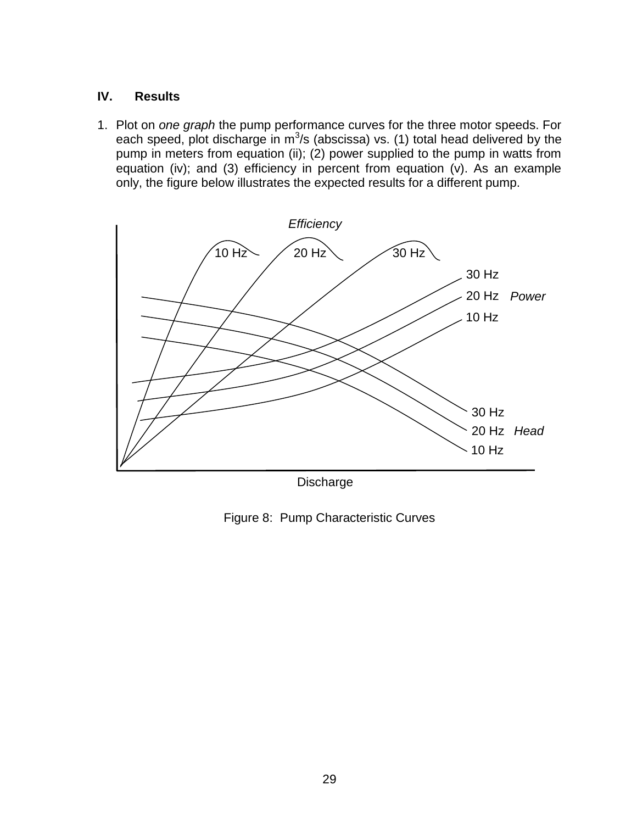## **IV. Results**

1. Plot on *one graph* the pump performance curves for the three motor speeds. For each speed, plot discharge in  $m^3/s$  (abscissa) vs. (1) total head delivered by the pump in meters from equation (ii); (2) power supplied to the pump in watts from equation (iv); and (3) efficiency in percent from equation (v). As an example only, the figure below illustrates the expected results for a different pump.

![](_page_29_Figure_2.jpeg)

Discharge

Figure 8: Pump Characteristic Curves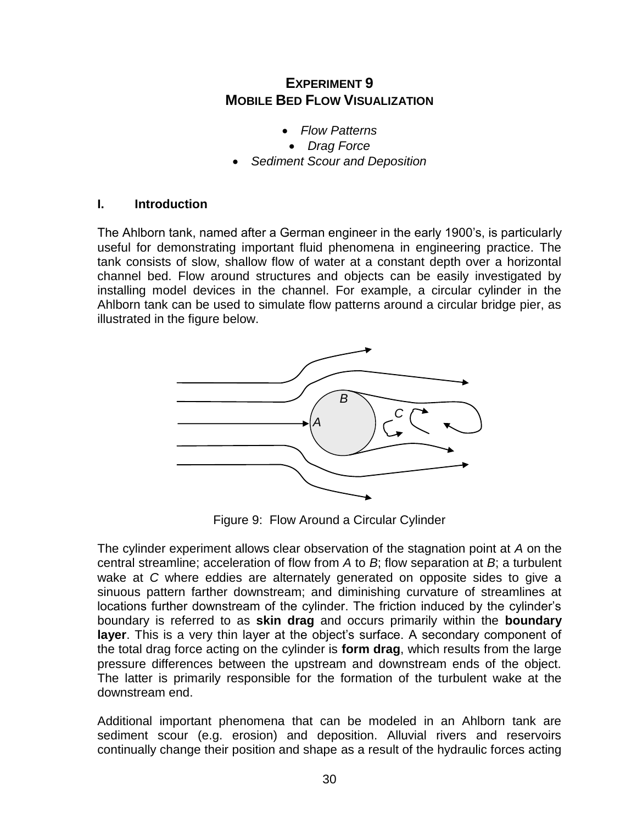## **EXPERIMENT 9 MOBILE BED FLOW VISUALIZATION**

- *Flow Patterns*
- *Drag Force*
- *Sediment Scour and Deposition*

#### **I. Introduction**

The Ahlborn tank, named after a German engineer in the early 1900"s, is particularly useful for demonstrating important fluid phenomena in engineering practice. The tank consists of slow, shallow flow of water at a constant depth over a horizontal channel bed. Flow around structures and objects can be easily investigated by installing model devices in the channel. For example, a circular cylinder in the Ahlborn tank can be used to simulate flow patterns around a circular bridge pier, as illustrated in the figure below.

![](_page_30_Figure_6.jpeg)

Figure 9: Flow Around a Circular Cylinder

The cylinder experiment allows clear observation of the stagnation point at *A* on the central streamline; acceleration of flow from *A* to *B*; flow separation at *B*; a turbulent wake at *C* where eddies are alternately generated on opposite sides to give a sinuous pattern farther downstream; and diminishing curvature of streamlines at locations further downstream of the cylinder. The friction induced by the cylinder's boundary is referred to as **skin drag** and occurs primarily within the **boundary**  layer. This is a very thin layer at the object's surface. A secondary component of the total drag force acting on the cylinder is **form drag**, which results from the large pressure differences between the upstream and downstream ends of the object. The latter is primarily responsible for the formation of the turbulent wake at the downstream end.

Additional important phenomena that can be modeled in an Ahlborn tank are sediment scour (e.g. erosion) and deposition. Alluvial rivers and reservoirs continually change their position and shape as a result of the hydraulic forces acting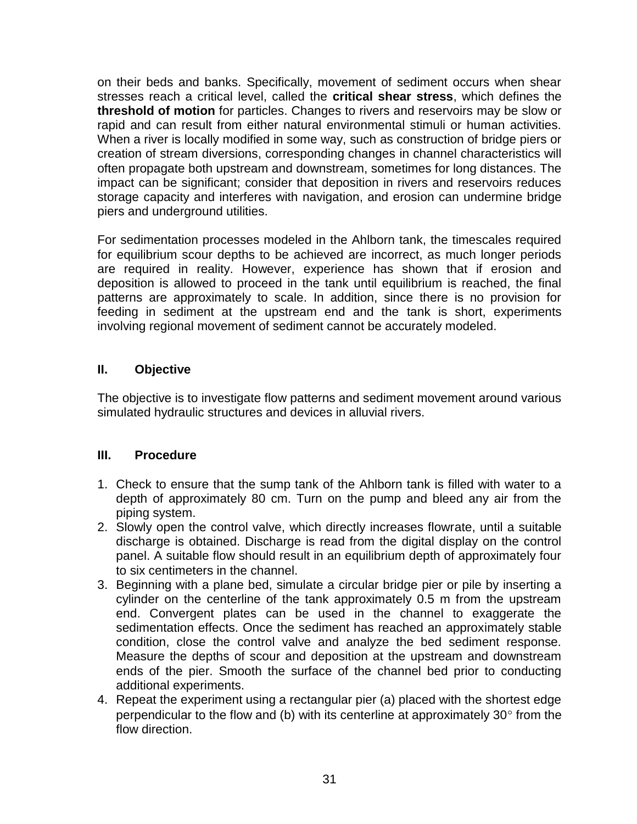on their beds and banks. Specifically, movement of sediment occurs when shear stresses reach a critical level, called the **critical shear stress**, which defines the **threshold of motion** for particles. Changes to rivers and reservoirs may be slow or rapid and can result from either natural environmental stimuli or human activities. When a river is locally modified in some way, such as construction of bridge piers or creation of stream diversions, corresponding changes in channel characteristics will often propagate both upstream and downstream, sometimes for long distances. The impact can be significant; consider that deposition in rivers and reservoirs reduces storage capacity and interferes with navigation, and erosion can undermine bridge piers and underground utilities.

For sedimentation processes modeled in the Ahlborn tank, the timescales required for equilibrium scour depths to be achieved are incorrect, as much longer periods are required in reality. However, experience has shown that if erosion and deposition is allowed to proceed in the tank until equilibrium is reached, the final patterns are approximately to scale. In addition, since there is no provision for feeding in sediment at the upstream end and the tank is short, experiments involving regional movement of sediment cannot be accurately modeled.

## **II. Objective**

The objective is to investigate flow patterns and sediment movement around various simulated hydraulic structures and devices in alluvial rivers.

## **III. Procedure**

- 1. Check to ensure that the sump tank of the Ahlborn tank is filled with water to a depth of approximately 80 cm. Turn on the pump and bleed any air from the piping system.
- 2. Slowly open the control valve, which directly increases flowrate, until a suitable discharge is obtained. Discharge is read from the digital display on the control panel. A suitable flow should result in an equilibrium depth of approximately four to six centimeters in the channel.
- 3. Beginning with a plane bed, simulate a circular bridge pier or pile by inserting a cylinder on the centerline of the tank approximately 0.5 m from the upstream end. Convergent plates can be used in the channel to exaggerate the sedimentation effects. Once the sediment has reached an approximately stable condition, close the control valve and analyze the bed sediment response. Measure the depths of scour and deposition at the upstream and downstream ends of the pier. Smooth the surface of the channel bed prior to conducting additional experiments.
- 4. Repeat the experiment using a rectangular pier (a) placed with the shortest edge perpendicular to the flow and (b) with its centerline at approximately  $30^{\circ}$  from the flow direction.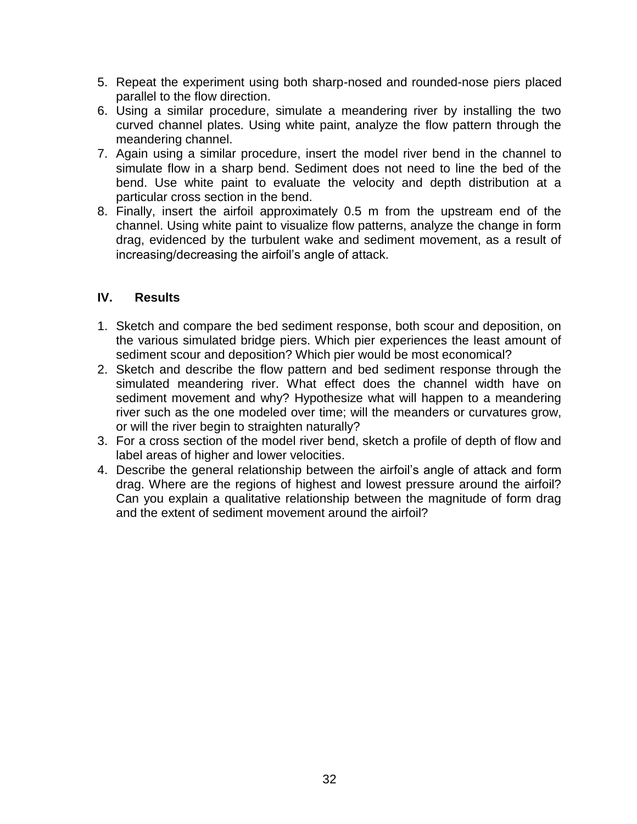- 5. Repeat the experiment using both sharp-nosed and rounded-nose piers placed parallel to the flow direction.
- 6. Using a similar procedure, simulate a meandering river by installing the two curved channel plates. Using white paint, analyze the flow pattern through the meandering channel.
- 7. Again using a similar procedure, insert the model river bend in the channel to simulate flow in a sharp bend. Sediment does not need to line the bed of the bend. Use white paint to evaluate the velocity and depth distribution at a particular cross section in the bend.
- 8. Finally, insert the airfoil approximately 0.5 m from the upstream end of the channel. Using white paint to visualize flow patterns, analyze the change in form drag, evidenced by the turbulent wake and sediment movement, as a result of increasing/decreasing the airfoil"s angle of attack.

- 1. Sketch and compare the bed sediment response, both scour and deposition, on the various simulated bridge piers. Which pier experiences the least amount of sediment scour and deposition? Which pier would be most economical?
- 2. Sketch and describe the flow pattern and bed sediment response through the simulated meandering river. What effect does the channel width have on sediment movement and why? Hypothesize what will happen to a meandering river such as the one modeled over time; will the meanders or curvatures grow, or will the river begin to straighten naturally?
- 3. For a cross section of the model river bend, sketch a profile of depth of flow and label areas of higher and lower velocities.
- 4. Describe the general relationship between the airfoil's angle of attack and form drag. Where are the regions of highest and lowest pressure around the airfoil? Can you explain a qualitative relationship between the magnitude of form drag and the extent of sediment movement around the airfoil?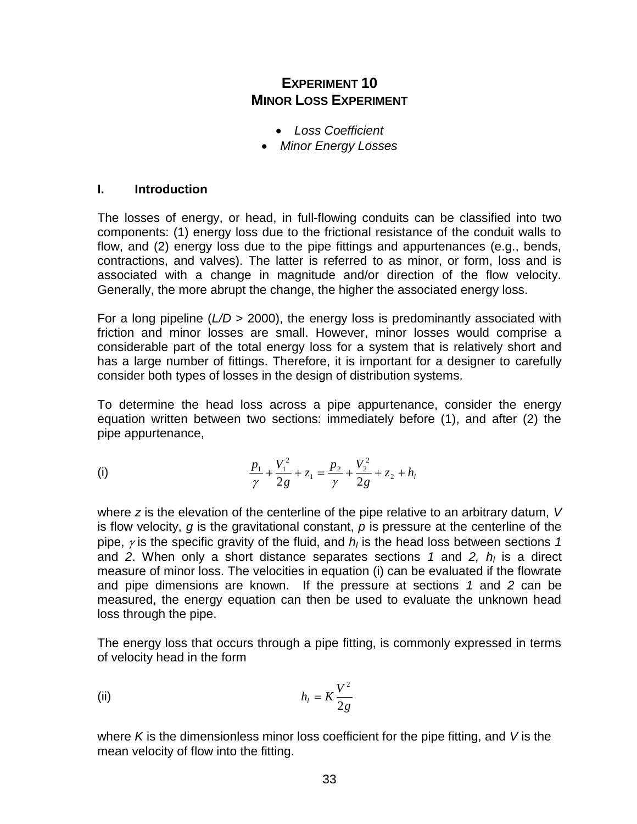## **EXPERIMENT 10 MINOR LOSS EXPERIMENT**

- *Loss Coefficient*
- *Minor Energy Losses*

#### **I. Introduction**

The losses of energy, or head, in full-flowing conduits can be classified into two components: (1) energy loss due to the frictional resistance of the conduit walls to flow, and (2) energy loss due to the pipe fittings and appurtenances (e.g., bends, contractions, and valves). The latter is referred to as minor, or form, loss and is associated with a change in magnitude and/or direction of the flow velocity. Generally, the more abrupt the change, the higher the associated energy loss.

For a long pipeline (*L/D* > 2000), the energy loss is predominantly associated with friction and minor losses are small. However, minor losses would comprise a considerable part of the total energy loss for a system that is relatively short and has a large number of fittings. Therefore, it is important for a designer to carefully consider both types of losses in the design of distribution systems.

To determine the head loss across a pipe appurtenance, consider the energy equation written between two sections: immediately before (1), and after (2) the pipe appurtenance,

(i) 
$$
\frac{p_1}{\gamma} + \frac{V_1^2}{2g} + z_1 = \frac{p_2}{\gamma} + \frac{V_2^2}{2g} + z_2 + h_l
$$

where *z* is the elevation of the centerline of the pipe relative to an arbitrary datum, *V* is flow velocity, *g* is the gravitational constant, *p* is pressure at the centerline of the pipe,  $\gamma$  is the specific gravity of the fluid, and  $h_l$  is the head loss between sections 1 and *2*. When only a short distance separates sections *1* and *2, h<sup>l</sup>* is a direct measure of minor loss. The velocities in equation (i) can be evaluated if the flowrate and pipe dimensions are known. If the pressure at sections *1* and *2* can be measured, the energy equation can then be used to evaluate the unknown head loss through the pipe.

The energy loss that occurs through a pipe fitting, is commonly expressed in terms of velocity head in the form

(ii) 
$$
h_l = K \frac{V^2}{2g}
$$

where *K* is the dimensionless minor loss coefficient for the pipe fitting, and *V* is the mean velocity of flow into the fitting.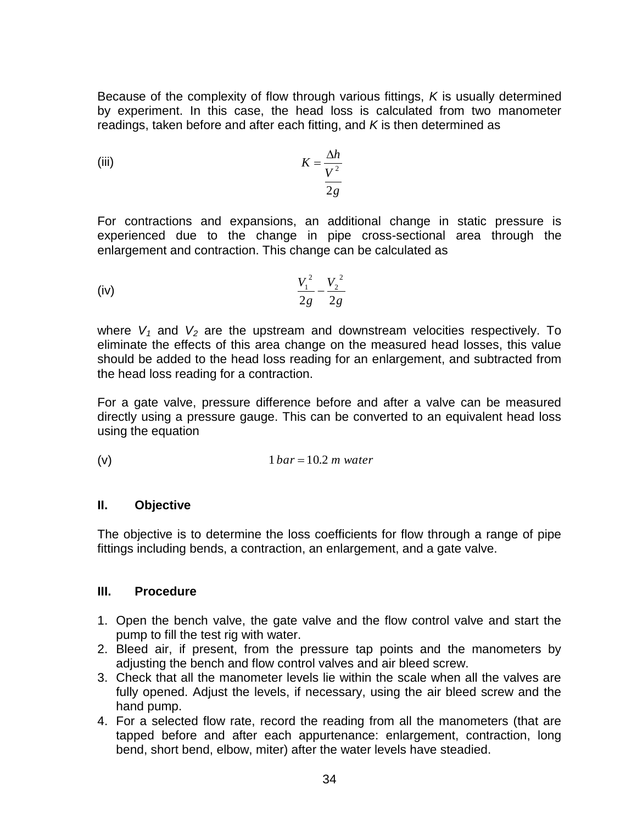Because of the complexity of flow through various fittings, *K* is usually determined by experiment. In this case, the head loss is calculated from two manometer readings, taken before and after each fitting, and *K* is then determined as

(iii) 
$$
K = \frac{\Delta h}{V^2}
$$

For contractions and expansions, an additional change in static pressure is experienced due to the change in pipe cross-sectional area through the enlargement and contraction. This change can be calculated as

(iv) 
$$
\frac{V_1^2}{2g} - \frac{V_2^2}{2g}
$$

where  $V_1$  and  $V_2$  are the upstream and downstream velocities respectively. To eliminate the effects of this area change on the measured head losses, this value should be added to the head loss reading for an enlargement, and subtracted from the head loss reading for a contraction.

For a gate valve, pressure difference before and after a valve can be measured directly using a pressure gauge. This can be converted to an equivalent head loss using the equation

$$
(v) \t1 bar = 10.2 m water
$$

## **II. Objective**

The objective is to determine the loss coefficients for flow through a range of pipe fittings including bends, a contraction, an enlargement, and a gate valve.

## **III. Procedure**

- 1. Open the bench valve, the gate valve and the flow control valve and start the pump to fill the test rig with water.
- 2. Bleed air, if present, from the pressure tap points and the manometers by adjusting the bench and flow control valves and air bleed screw.
- 3. Check that all the manometer levels lie within the scale when all the valves are fully opened. Adjust the levels, if necessary, using the air bleed screw and the hand pump.
- 4. For a selected flow rate, record the reading from all the manometers (that are tapped before and after each appurtenance: enlargement, contraction, long bend, short bend, elbow, miter) after the water levels have steadied.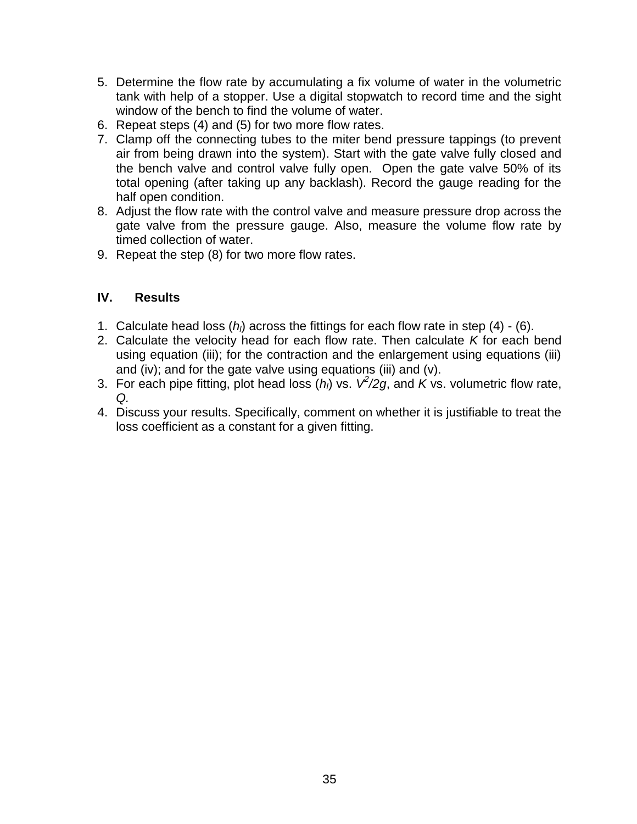- 5. Determine the flow rate by accumulating a fix volume of water in the volumetric tank with help of a stopper. Use a digital stopwatch to record time and the sight window of the bench to find the volume of water.
- 6. Repeat steps (4) and (5) for two more flow rates.
- 7. Clamp off the connecting tubes to the miter bend pressure tappings (to prevent air from being drawn into the system). Start with the gate valve fully closed and the bench valve and control valve fully open. Open the gate valve 50% of its total opening (after taking up any backlash). Record the gauge reading for the half open condition.
- 8. Adjust the flow rate with the control valve and measure pressure drop across the gate valve from the pressure gauge. Also, measure the volume flow rate by timed collection of water.
- 9. Repeat the step (8) for two more flow rates.

- 1. Calculate head loss (*hl*) across the fittings for each flow rate in step (4) (6).
- 2. Calculate the velocity head for each flow rate. Then calculate *K* for each bend using equation (iii); for the contraction and the enlargement using equations (iii) and (iv); and for the gate valve using equations (iii) and (v).
- 3. For each pipe fitting, plot head loss  $(h<sub>l</sub>)$  vs.  $V<sup>2</sup>/2g$ , and  $K$  vs. volumetric flow rate, *Q.*
- 4. Discuss your results. Specifically, comment on whether it is justifiable to treat the loss coefficient as a constant for a given fitting.